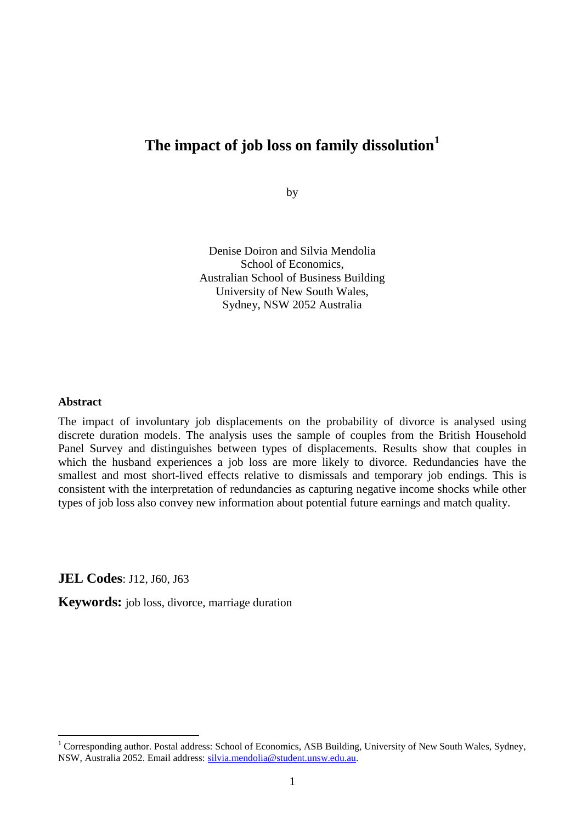# **The impact of job loss on family dissolution<sup>1</sup>**

by

Denise Doiron and Silvia Mendolia School of Economics, Australian School of Business Building University of New South Wales, Sydney, NSW 2052 Australia

### **Abstract**

 $\overline{a}$ 

The impact of involuntary job displacements on the probability of divorce is analysed using discrete duration models. The analysis uses the sample of couples from the British Household Panel Survey and distinguishes between types of displacements. Results show that couples in which the husband experiences a job loss are more likely to divorce. Redundancies have the smallest and most short-lived effects relative to dismissals and temporary job endings. This is consistent with the interpretation of redundancies as capturing negative income shocks while other types of job loss also convey new information about potential future earnings and match quality.

**JEL Codes**: J12, J60, J63

**Keywords:** job loss, divorce, marriage duration

<sup>&</sup>lt;sup>1</sup> Corresponding author. Postal address: School of Economics, ASB Building, University of New South Wales, Sydney, NSW, Australia 2052. Email address: [silvia.mendolia@student.unsw.edu.au.](mailto:silvia.mendolia@student.unsw.edu.au)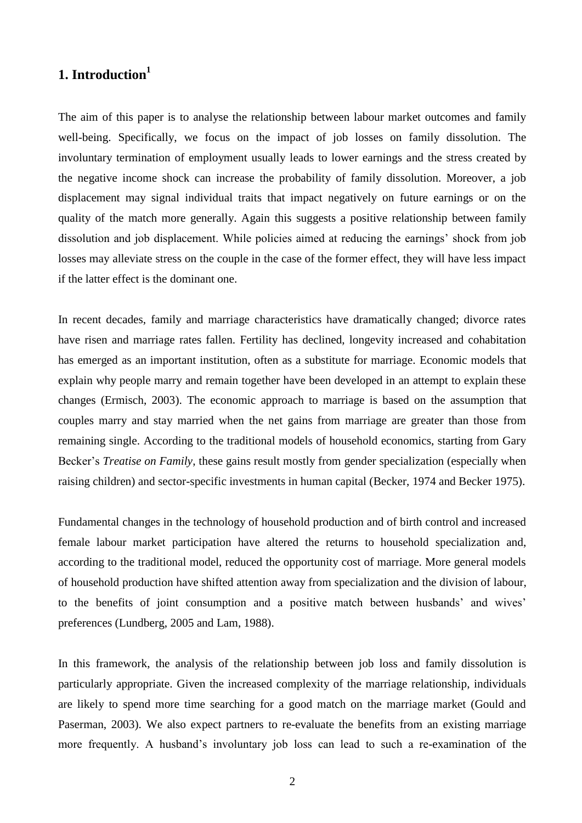## **1. Introduction<sup>1</sup>**

The aim of this paper is to analyse the relationship between labour market outcomes and family well-being. Specifically, we focus on the impact of job losses on family dissolution. The involuntary termination of employment usually leads to lower earnings and the stress created by the negative income shock can increase the probability of family dissolution. Moreover, a job displacement may signal individual traits that impact negatively on future earnings or on the quality of the match more generally. Again this suggests a positive relationship between family dissolution and job displacement. While policies aimed at reducing the earnings' shock from job losses may alleviate stress on the couple in the case of the former effect, they will have less impact if the latter effect is the dominant one.

In recent decades, family and marriage characteristics have dramatically changed; divorce rates have risen and marriage rates fallen. Fertility has declined, longevity increased and cohabitation has emerged as an important institution, often as a substitute for marriage. Economic models that explain why people marry and remain together have been developed in an attempt to explain these changes (Ermisch, 2003). The economic approach to marriage is based on the assumption that couples marry and stay married when the net gains from marriage are greater than those from remaining single. According to the traditional models of household economics, starting from Gary Becker's *Treatise on Family*, these gains result mostly from gender specialization (especially when raising children) and sector-specific investments in human capital (Becker, 1974 and Becker 1975).

Fundamental changes in the technology of household production and of birth control and increased female labour market participation have altered the returns to household specialization and, according to the traditional model, reduced the opportunity cost of marriage. More general models of household production have shifted attention away from specialization and the division of labour, to the benefits of joint consumption and a positive match between husbands' and wives' preferences (Lundberg, 2005 and Lam, 1988).

In this framework, the analysis of the relationship between job loss and family dissolution is particularly appropriate. Given the increased complexity of the marriage relationship, individuals are likely to spend more time searching for a good match on the marriage market (Gould and Paserman, 2003). We also expect partners to re-evaluate the benefits from an existing marriage more frequently. A husband's involuntary job loss can lead to such a re-examination of the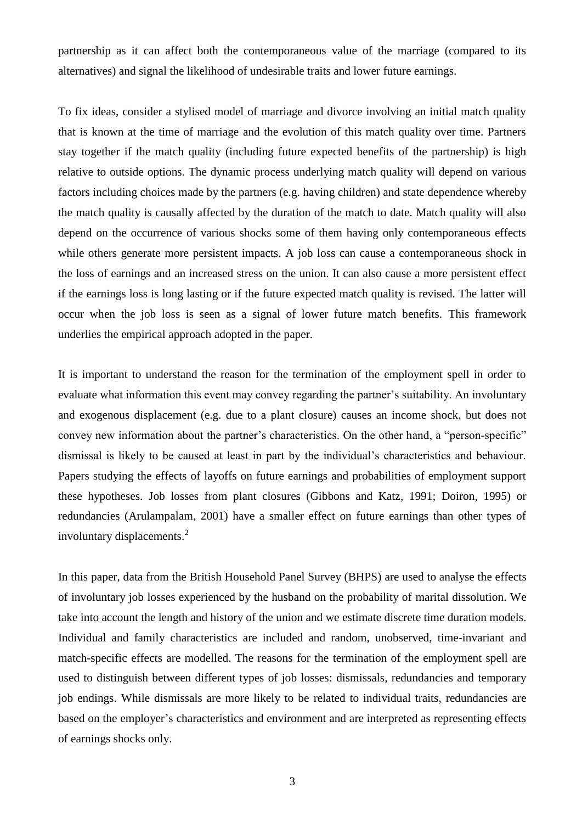partnership as it can affect both the contemporaneous value of the marriage (compared to its alternatives) and signal the likelihood of undesirable traits and lower future earnings.

To fix ideas, consider a stylised model of marriage and divorce involving an initial match quality that is known at the time of marriage and the evolution of this match quality over time. Partners stay together if the match quality (including future expected benefits of the partnership) is high relative to outside options. The dynamic process underlying match quality will depend on various factors including choices made by the partners (e.g. having children) and state dependence whereby the match quality is causally affected by the duration of the match to date. Match quality will also depend on the occurrence of various shocks some of them having only contemporaneous effects while others generate more persistent impacts. A job loss can cause a contemporaneous shock in the loss of earnings and an increased stress on the union. It can also cause a more persistent effect if the earnings loss is long lasting or if the future expected match quality is revised. The latter will occur when the job loss is seen as a signal of lower future match benefits. This framework underlies the empirical approach adopted in the paper.

It is important to understand the reason for the termination of the employment spell in order to evaluate what information this event may convey regarding the partner's suitability. An involuntary and exogenous displacement (e.g. due to a plant closure) causes an income shock, but does not convey new information about the partner's characteristics. On the other hand, a "person-specific" dismissal is likely to be caused at least in part by the individual's characteristics and behaviour. Papers studying the effects of layoffs on future earnings and probabilities of employment support these hypotheses. Job losses from plant closures (Gibbons and Katz, 1991; Doiron, 1995) or redundancies (Arulampalam, 2001) have a smaller effect on future earnings than other types of involuntary displacements.<sup>2</sup>

In this paper, data from the British Household Panel Survey (BHPS) are used to analyse the effects of involuntary job losses experienced by the husband on the probability of marital dissolution. We take into account the length and history of the union and we estimate discrete time duration models. Individual and family characteristics are included and random, unobserved, time-invariant and match-specific effects are modelled. The reasons for the termination of the employment spell are used to distinguish between different types of job losses: dismissals, redundancies and temporary job endings. While dismissals are more likely to be related to individual traits, redundancies are based on the employer's characteristics and environment and are interpreted as representing effects of earnings shocks only.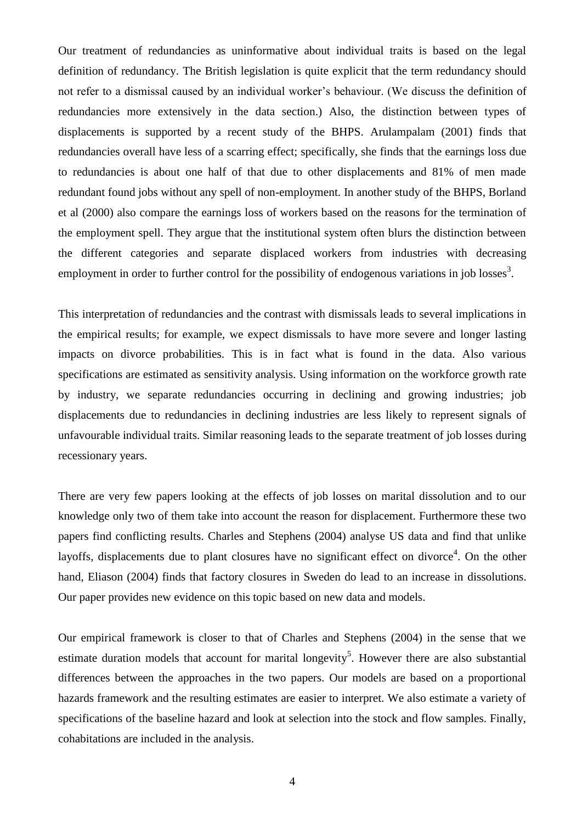Our treatment of redundancies as uninformative about individual traits is based on the legal definition of redundancy. The British legislation is quite explicit that the term redundancy should not refer to a dismissal caused by an individual worker's behaviour. (We discuss the definition of redundancies more extensively in the data section.) Also, the distinction between types of displacements is supported by a recent study of the BHPS. Arulampalam (2001) finds that redundancies overall have less of a scarring effect; specifically, she finds that the earnings loss due to redundancies is about one half of that due to other displacements and 81% of men made redundant found jobs without any spell of non-employment. In another study of the BHPS, Borland et al (2000) also compare the earnings loss of workers based on the reasons for the termination of the employment spell. They argue that the institutional system often blurs the distinction between the different categories and separate displaced workers from industries with decreasing employment in order to further control for the possibility of endogenous variations in job losses<sup>3</sup>.

This interpretation of redundancies and the contrast with dismissals leads to several implications in the empirical results; for example, we expect dismissals to have more severe and longer lasting impacts on divorce probabilities. This is in fact what is found in the data. Also various specifications are estimated as sensitivity analysis. Using information on the workforce growth rate by industry, we separate redundancies occurring in declining and growing industries; job displacements due to redundancies in declining industries are less likely to represent signals of unfavourable individual traits. Similar reasoning leads to the separate treatment of job losses during recessionary years.

There are very few papers looking at the effects of job losses on marital dissolution and to our knowledge only two of them take into account the reason for displacement. Furthermore these two papers find conflicting results. Charles and Stephens (2004) analyse US data and find that unlike layoffs, displacements due to plant closures have no significant effect on divorce<sup>4</sup>. On the other hand, Eliason (2004) finds that factory closures in Sweden do lead to an increase in dissolutions. Our paper provides new evidence on this topic based on new data and models.

Our empirical framework is closer to that of Charles and Stephens (2004) in the sense that we estimate duration models that account for marital longevity<sup>5</sup>. However there are also substantial differences between the approaches in the two papers. Our models are based on a proportional hazards framework and the resulting estimates are easier to interpret. We also estimate a variety of specifications of the baseline hazard and look at selection into the stock and flow samples. Finally, cohabitations are included in the analysis.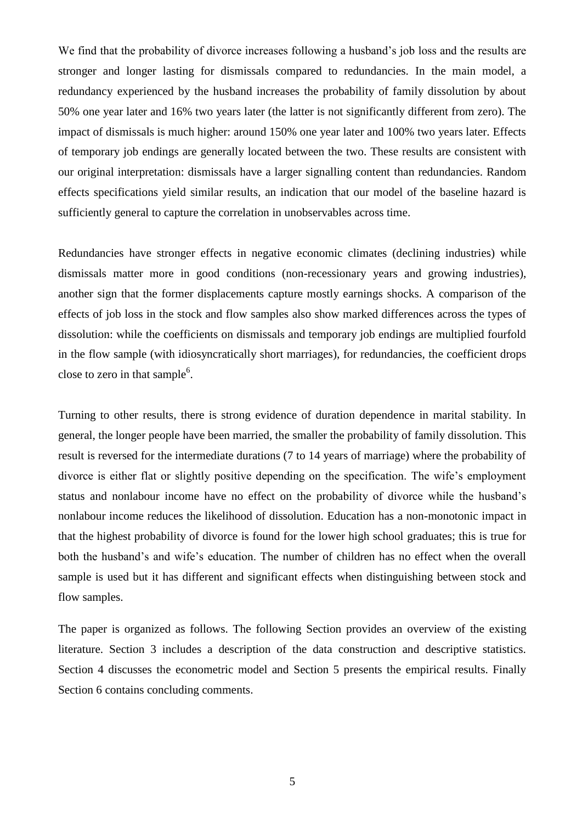We find that the probability of divorce increases following a husband's job loss and the results are stronger and longer lasting for dismissals compared to redundancies. In the main model, a redundancy experienced by the husband increases the probability of family dissolution by about 50% one year later and 16% two years later (the latter is not significantly different from zero). The impact of dismissals is much higher: around 150% one year later and 100% two years later. Effects of temporary job endings are generally located between the two. These results are consistent with our original interpretation: dismissals have a larger signalling content than redundancies. Random effects specifications yield similar results, an indication that our model of the baseline hazard is sufficiently general to capture the correlation in unobservables across time.

Redundancies have stronger effects in negative economic climates (declining industries) while dismissals matter more in good conditions (non-recessionary years and growing industries), another sign that the former displacements capture mostly earnings shocks. A comparison of the effects of job loss in the stock and flow samples also show marked differences across the types of dissolution: while the coefficients on dismissals and temporary job endings are multiplied fourfold in the flow sample (with idiosyncratically short marriages), for redundancies, the coefficient drops close to zero in that sample<sup>6</sup>.

Turning to other results, there is strong evidence of duration dependence in marital stability. In general, the longer people have been married, the smaller the probability of family dissolution. This result is reversed for the intermediate durations (7 to 14 years of marriage) where the probability of divorce is either flat or slightly positive depending on the specification. The wife's employment status and nonlabour income have no effect on the probability of divorce while the husband's nonlabour income reduces the likelihood of dissolution. Education has a non-monotonic impact in that the highest probability of divorce is found for the lower high school graduates; this is true for both the husband's and wife's education. The number of children has no effect when the overall sample is used but it has different and significant effects when distinguishing between stock and flow samples.

The paper is organized as follows. The following Section provides an overview of the existing literature. Section 3 includes a description of the data construction and descriptive statistics. Section 4 discusses the econometric model and Section 5 presents the empirical results. Finally Section 6 contains concluding comments.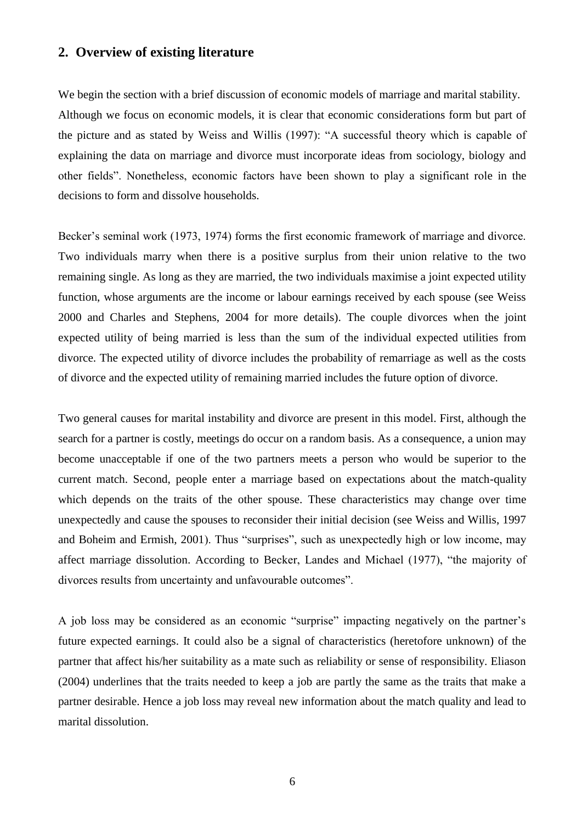### **2. Overview of existing literature**

We begin the section with a brief discussion of economic models of marriage and marital stability. Although we focus on economic models, it is clear that economic considerations form but part of the picture and as stated by Weiss and Willis (1997): "A successful theory which is capable of explaining the data on marriage and divorce must incorporate ideas from sociology, biology and other fields". Nonetheless, economic factors have been shown to play a significant role in the decisions to form and dissolve households.

Becker's seminal work (1973, 1974) forms the first economic framework of marriage and divorce. Two individuals marry when there is a positive surplus from their union relative to the two remaining single. As long as they are married, the two individuals maximise a joint expected utility function, whose arguments are the income or labour earnings received by each spouse (see Weiss 2000 and Charles and Stephens, 2004 for more details). The couple divorces when the joint expected utility of being married is less than the sum of the individual expected utilities from divorce. The expected utility of divorce includes the probability of remarriage as well as the costs of divorce and the expected utility of remaining married includes the future option of divorce.

Two general causes for marital instability and divorce are present in this model. First, although the search for a partner is costly, meetings do occur on a random basis. As a consequence, a union may become unacceptable if one of the two partners meets a person who would be superior to the current match. Second, people enter a marriage based on expectations about the match-quality which depends on the traits of the other spouse. These characteristics may change over time unexpectedly and cause the spouses to reconsider their initial decision (see Weiss and Willis, 1997 and Boheim and Ermish, 2001). Thus "surprises", such as unexpectedly high or low income, may affect marriage dissolution. According to Becker, Landes and Michael (1977), "the majority of divorces results from uncertainty and unfavourable outcomes".

A job loss may be considered as an economic "surprise" impacting negatively on the partner's future expected earnings. It could also be a signal of characteristics (heretofore unknown) of the partner that affect his/her suitability as a mate such as reliability or sense of responsibility. Eliason (2004) underlines that the traits needed to keep a job are partly the same as the traits that make a partner desirable. Hence a job loss may reveal new information about the match quality and lead to marital dissolution.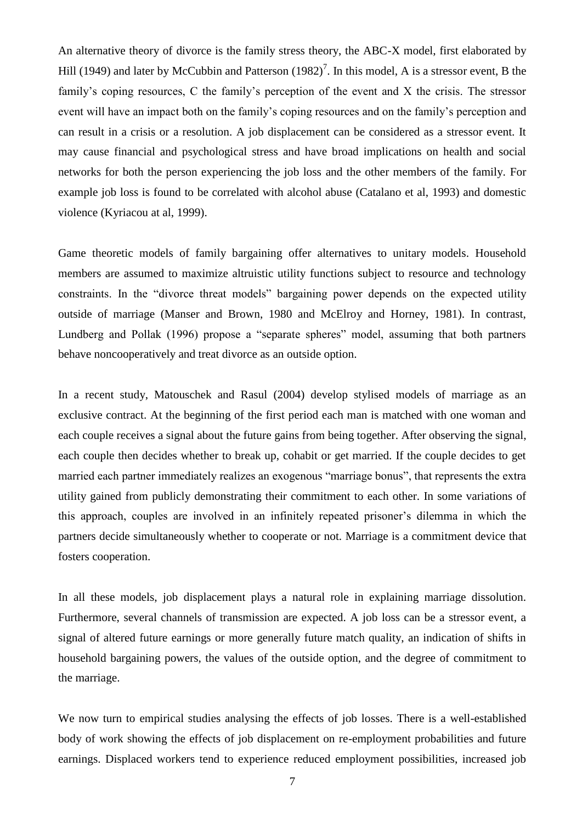An alternative theory of divorce is the family stress theory, the ABC-X model, first elaborated by Hill (1949) and later by McCubbin and Patterson  $(1982)^7$ . In this model, A is a stressor event, B the family's coping resources, C the family's perception of the event and X the crisis. The stressor event will have an impact both on the family's coping resources and on the family's perception and can result in a crisis or a resolution. A job displacement can be considered as a stressor event. It may cause financial and psychological stress and have broad implications on health and social networks for both the person experiencing the job loss and the other members of the family. For example job loss is found to be correlated with alcohol abuse (Catalano et al, 1993) and domestic violence (Kyriacou at al, 1999).

Game theoretic models of family bargaining offer alternatives to unitary models. Household members are assumed to maximize altruistic utility functions subject to resource and technology constraints. In the "divorce threat models" bargaining power depends on the expected utility outside of marriage (Manser and Brown, 1980 and McElroy and Horney, 1981). In contrast, Lundberg and Pollak (1996) propose a "separate spheres" model, assuming that both partners behave noncooperatively and treat divorce as an outside option.

In a recent study, Matouschek and Rasul (2004) develop stylised models of marriage as an exclusive contract. At the beginning of the first period each man is matched with one woman and each couple receives a signal about the future gains from being together. After observing the signal, each couple then decides whether to break up, cohabit or get married. If the couple decides to get married each partner immediately realizes an exogenous "marriage bonus", that represents the extra utility gained from publicly demonstrating their commitment to each other. In some variations of this approach, couples are involved in an infinitely repeated prisoner's dilemma in which the partners decide simultaneously whether to cooperate or not. Marriage is a commitment device that fosters cooperation.

In all these models, job displacement plays a natural role in explaining marriage dissolution. Furthermore, several channels of transmission are expected. A job loss can be a stressor event, a signal of altered future earnings or more generally future match quality, an indication of shifts in household bargaining powers, the values of the outside option, and the degree of commitment to the marriage.

We now turn to empirical studies analysing the effects of job losses. There is a well-established body of work showing the effects of job displacement on re-employment probabilities and future earnings. Displaced workers tend to experience reduced employment possibilities, increased job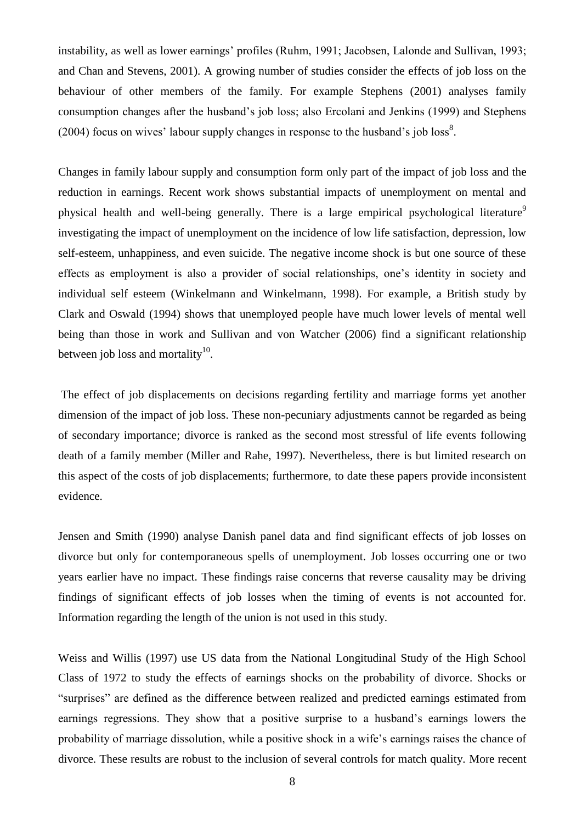instability, as well as lower earnings' profiles (Ruhm, 1991; Jacobsen, Lalonde and Sullivan, 1993; and Chan and Stevens, 2001). A growing number of studies consider the effects of job loss on the behaviour of other members of the family. For example Stephens (2001) analyses family consumption changes after the husband's job loss; also Ercolani and Jenkins (1999) and Stephens  $(2004)$  focus on wives' labour supply changes in response to the husband's job loss<sup>8</sup>.

Changes in family labour supply and consumption form only part of the impact of job loss and the reduction in earnings. Recent work shows substantial impacts of unemployment on mental and physical health and well-being generally. There is a large empirical psychological literature<sup>9</sup> investigating the impact of unemployment on the incidence of low life satisfaction, depression, low self-esteem, unhappiness, and even suicide. The negative income shock is but one source of these effects as employment is also a provider of social relationships, one's identity in society and individual self esteem (Winkelmann and Winkelmann, 1998). For example, a British study by Clark and Oswald (1994) shows that unemployed people have much lower levels of mental well being than those in work and Sullivan and von Watcher (2006) find a significant relationship between job loss and mortality $10$ .

The effect of job displacements on decisions regarding fertility and marriage forms yet another dimension of the impact of job loss. These non-pecuniary adjustments cannot be regarded as being of secondary importance; divorce is ranked as the second most stressful of life events following death of a family member (Miller and Rahe, 1997). Nevertheless, there is but limited research on this aspect of the costs of job displacements; furthermore, to date these papers provide inconsistent evidence.

Jensen and Smith (1990) analyse Danish panel data and find significant effects of job losses on divorce but only for contemporaneous spells of unemployment. Job losses occurring one or two years earlier have no impact. These findings raise concerns that reverse causality may be driving findings of significant effects of job losses when the timing of events is not accounted for. Information regarding the length of the union is not used in this study.

Weiss and Willis (1997) use US data from the National Longitudinal Study of the High School Class of 1972 to study the effects of earnings shocks on the probability of divorce. Shocks or "surprises" are defined as the difference between realized and predicted earnings estimated from earnings regressions. They show that a positive surprise to a husband's earnings lowers the probability of marriage dissolution, while a positive shock in a wife's earnings raises the chance of divorce. These results are robust to the inclusion of several controls for match quality. More recent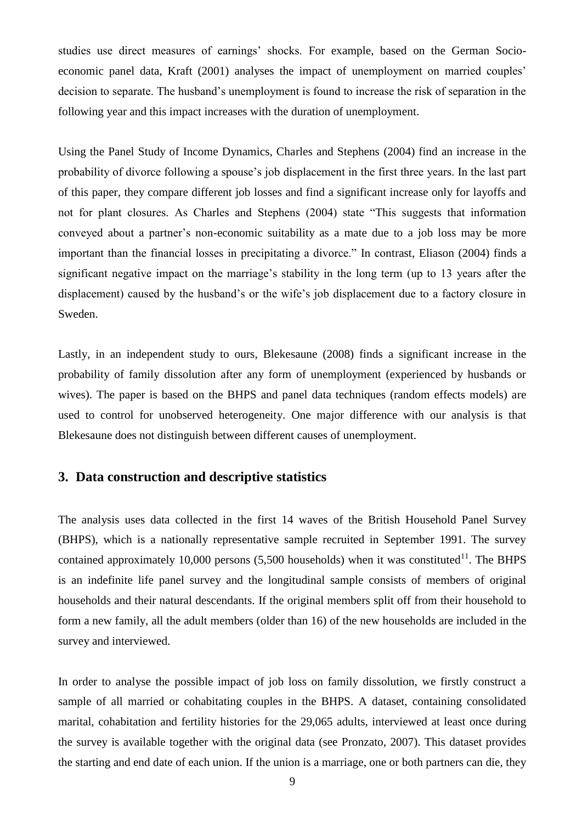studies use direct measures of earnings' shocks. For example, based on the German Socioeconomic panel data, Kraft (2001) analyses the impact of unemployment on married couples' decision to separate. The husband's unemployment is found to increase the risk of separation in the following year and this impact increases with the duration of unemployment.

Using the Panel Study of Income Dynamics, Charles and Stephens (2004) find an increase in the probability of divorce following a spouse's job displacement in the first three years. In the last part of this paper, they compare different job losses and find a significant increase only for layoffs and not for plant closures. As Charles and Stephens (2004) state "This suggests that information conveyed about a partner's non-economic suitability as a mate due to a job loss may be more important than the financial losses in precipitating a divorce." In contrast, Eliason (2004) finds a significant negative impact on the marriage's stability in the long term (up to 13 years after the displacement) caused by the husband's or the wife's job displacement due to a factory closure in Sweden.

Lastly, in an independent study to ours, Blekesaune (2008) finds a significant increase in the probability of family dissolution after any form of unemployment (experienced by husbands or wives). The paper is based on the BHPS and panel data techniques (random effects models) are used to control for unobserved heterogeneity. One major difference with our analysis is that Blekesaune does not distinguish between different causes of unemployment.

### **3. Data construction and descriptive statistics**

The analysis uses data collected in the first 14 waves of the British Household Panel Survey (BHPS), which is a nationally representative sample recruited in September 1991. The survey contained approximately 10,000 persons  $(5,500$  households) when it was constituted<sup>11</sup>. The BHPS is an indefinite life panel survey and the longitudinal sample consists of members of original households and their natural descendants. If the original members split off from their household to form a new family, all the adult members (older than 16) of the new households are included in the survey and interviewed.

In order to analyse the possible impact of job loss on family dissolution, we firstly construct a sample of all married or cohabitating couples in the BHPS. A dataset, containing consolidated marital, cohabitation and fertility histories for the 29,065 adults, interviewed at least once during the survey is available together with the original data (see Pronzato, 2007). This dataset provides the starting and end date of each union. If the union is a marriage, one or both partners can die, they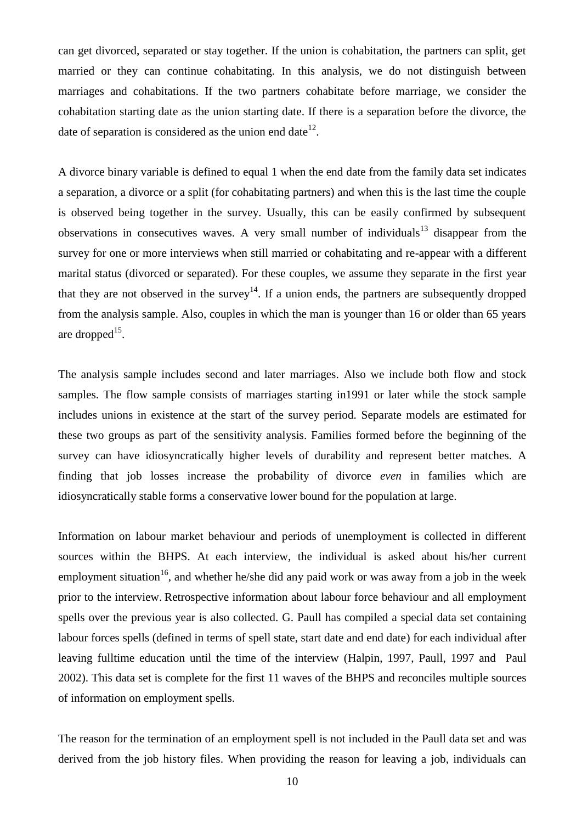can get divorced, separated or stay together. If the union is cohabitation, the partners can split, get married or they can continue cohabitating. In this analysis, we do not distinguish between marriages and cohabitations. If the two partners cohabitate before marriage, we consider the cohabitation starting date as the union starting date. If there is a separation before the divorce, the date of separation is considered as the union end date  $12$ .

A divorce binary variable is defined to equal 1 when the end date from the family data set indicates a separation, a divorce or a split (for cohabitating partners) and when this is the last time the couple is observed being together in the survey. Usually, this can be easily confirmed by subsequent observations in consecutives waves. A very small number of individuals<sup>13</sup> disappear from the survey for one or more interviews when still married or cohabitating and re-appear with a different marital status (divorced or separated). For these couples, we assume they separate in the first year that they are not observed in the survey<sup>14</sup>. If a union ends, the partners are subsequently dropped from the analysis sample. Also, couples in which the man is younger than 16 or older than 65 years are dropped $15$ .

The analysis sample includes second and later marriages. Also we include both flow and stock samples. The flow sample consists of marriages starting in1991 or later while the stock sample includes unions in existence at the start of the survey period. Separate models are estimated for these two groups as part of the sensitivity analysis. Families formed before the beginning of the survey can have idiosyncratically higher levels of durability and represent better matches. A finding that job losses increase the probability of divorce *even* in families which are idiosyncratically stable forms a conservative lower bound for the population at large.

Information on labour market behaviour and periods of unemployment is collected in different sources within the BHPS. At each interview, the individual is asked about his/her current employment situation<sup>16</sup>, and whether he/she did any paid work or was away from a job in the week prior to the interview. Retrospective information about labour force behaviour and all employment spells over the previous year is also collected. G. Paull has compiled a special data set containing labour forces spells (defined in terms of spell state, start date and end date) for each individual after leaving fulltime education until the time of the interview (Halpin, 1997, Paull, 1997 and Paul 2002). This data set is complete for the first 11 waves of the BHPS and reconciles multiple sources of information on employment spells.

The reason for the termination of an employment spell is not included in the Paull data set and was derived from the job history files. When providing the reason for leaving a job, individuals can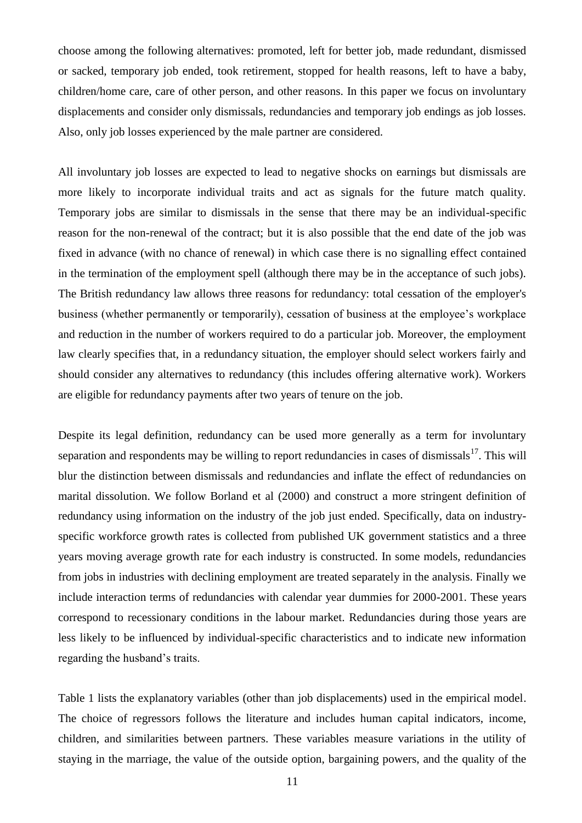choose among the following alternatives: promoted, left for better job, made redundant, dismissed or sacked, temporary job ended, took retirement, stopped for health reasons, left to have a baby, children/home care, care of other person, and other reasons. In this paper we focus on involuntary displacements and consider only dismissals, redundancies and temporary job endings as job losses. Also, only job losses experienced by the male partner are considered.

All involuntary job losses are expected to lead to negative shocks on earnings but dismissals are more likely to incorporate individual traits and act as signals for the future match quality. Temporary jobs are similar to dismissals in the sense that there may be an individual-specific reason for the non-renewal of the contract; but it is also possible that the end date of the job was fixed in advance (with no chance of renewal) in which case there is no signalling effect contained in the termination of the employment spell (although there may be in the acceptance of such jobs). [The](http://en.wikipedia.org/wiki/United_Kingdom) British redundancy law allows three reasons for redundancy: total cessation of the employer's business (whether permanently or temporarily), cessation of business at the employee's workplace and reduction in the number of workers required to do a particular job. Moreover, the employment law clearly specifies that, in a redundancy situation, the employer should select workers fairly and should consider any alternatives to redundancy (this includes offering alternative work). Workers are eligible for redundancy payments after two years of tenure on the job.

Despite its legal definition, redundancy can be used more generally as a term for involuntary separation and respondents may be willing to report redundancies in cases of dismissals<sup>17</sup>. This will blur the distinction between dismissals and redundancies and inflate the effect of redundancies on marital dissolution. We follow Borland et al (2000) and construct a more stringent definition of redundancy using information on the industry of the job just ended. Specifically, data on industryspecific workforce growth rates is collected from published UK government statistics and a three years moving average growth rate for each industry is constructed. In some models, redundancies from jobs in industries with declining employment are treated separately in the analysis. Finally we include interaction terms of redundancies with calendar year dummies for 2000-2001. These years correspond to recessionary conditions in the labour market. Redundancies during those years are less likely to be influenced by individual-specific characteristics and to indicate new information regarding the husband's traits.

Table 1 lists the explanatory variables (other than job displacements) used in the empirical model. The choice of regressors follows the literature and includes human capital indicators, income, children, and similarities between partners. These variables measure variations in the utility of staying in the marriage, the value of the outside option, bargaining powers, and the quality of the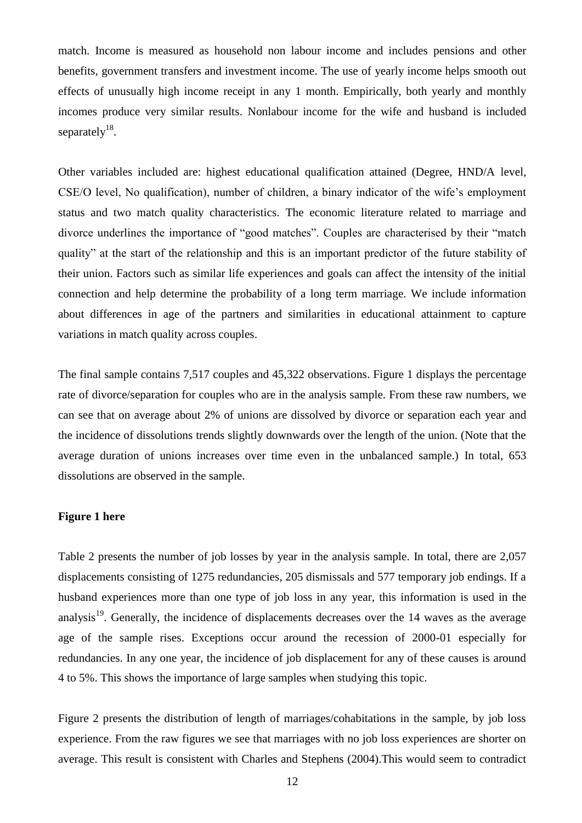match. Income is measured as household non labour income and includes pensions and other benefits, government transfers and investment income. The use of yearly income helps smooth out effects of unusually high income receipt in any 1 month. Empirically, both yearly and monthly incomes produce very similar results. Nonlabour income for the wife and husband is included separately $^{18}$ .

Other variables included are: highest educational qualification attained (Degree, HND/A level, CSE/O level, No qualification), number of children, a binary indicator of the wife's employment status and two match quality characteristics. The economic literature related to marriage and divorce underlines the importance of "good matches". Couples are characterised by their "match quality" at the start of the relationship and this is an important predictor of the future stability of their union. Factors such as similar life experiences and goals can affect the intensity of the initial connection and help determine the probability of a long term marriage. We include information about differences in age of the partners and similarities in educational attainment to capture variations in match quality across couples.

The final sample contains 7,517 couples and 45,322 observations. Figure 1 displays the percentage rate of divorce/separation for couples who are in the analysis sample. From these raw numbers, we can see that on average about 2% of unions are dissolved by divorce or separation each year and the incidence of dissolutions trends slightly downwards over the length of the union. (Note that the average duration of unions increases over time even in the unbalanced sample.) In total, 653 dissolutions are observed in the sample.

#### **Figure 1 here**

Table 2 presents the number of job losses by year in the analysis sample. In total, there are 2,057 displacements consisting of 1275 redundancies, 205 dismissals and 577 temporary job endings. If a husband experiences more than one type of job loss in any year, this information is used in the analysis<sup>19</sup>. Generally, the incidence of displacements decreases over the 14 waves as the average age of the sample rises. Exceptions occur around the recession of 2000-01 especially for redundancies. In any one year, the incidence of job displacement for any of these causes is around 4 to 5%. This shows the importance of large samples when studying this topic.

Figure 2 presents the distribution of length of marriages/cohabitations in the sample, by job loss experience. From the raw figures we see that marriages with no job loss experiences are shorter on average. This result is consistent with Charles and Stephens (2004).This would seem to contradict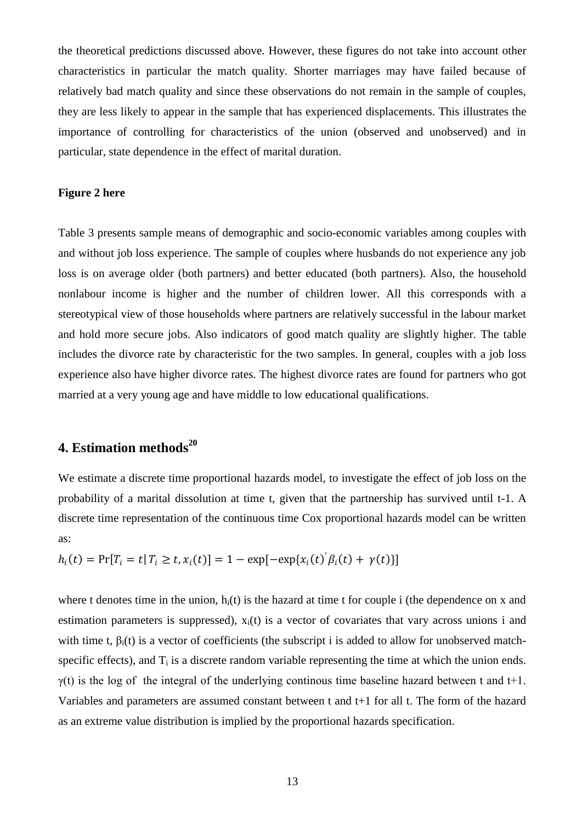the theoretical predictions discussed above. However, these figures do not take into account other characteristics in particular the match quality. Shorter marriages may have failed because of relatively bad match quality and since these observations do not remain in the sample of couples, they are less likely to appear in the sample that has experienced displacements. This illustrates the importance of controlling for characteristics of the union (observed and unobserved) and in particular, state dependence in the effect of marital duration.

#### **Figure 2 here**

Table 3 presents sample means of demographic and socio-economic variables among couples with and without job loss experience. The sample of couples where husbands do not experience any job loss is on average older (both partners) and better educated (both partners). Also, the household nonlabour income is higher and the number of children lower. All this corresponds with a stereotypical view of those households where partners are relatively successful in the labour market and hold more secure jobs. Also indicators of good match quality are slightly higher. The table includes the divorce rate by characteristic for the two samples. In general, couples with a job loss experience also have higher divorce rates. The highest divorce rates are found for partners who got married at a very young age and have middle to low educational qualifications.

## **4. Estimation methods<sup>20</sup>**

We estimate a discrete time proportional hazards model, to investigate the effect of job loss on the probability of a marital dissolution at time t, given that the partnership has survived until t-1. A discrete time representation of the continuous time Cox proportional hazards model can be written as:

$$
h_i(t) = \Pr[T_i = t | T_i \ge t, x_i(t)] = 1 - \exp[-\exp(x_i(t)^\prime \beta_i(t) + \gamma(t))]
$$

where t denotes time in the union,  $h_i(t)$  is the hazard at time t for couple i (the dependence on x and estimation parameters is suppressed),  $x_i(t)$  is a vector of covariates that vary across unions i and with time t,  $\beta_i(t)$  is a vector of coefficients (the subscript i is added to allow for unobserved matchspecific effects), and  $T_i$  is a discrete random variable representing the time at which the union ends.  $\gamma(t)$  is the log of the integral of the underlying continous time baseline hazard between t and t+1. Variables and parameters are assumed constant between t and t+1 for all t. The form of the hazard as an extreme value distribution is implied by the proportional hazards specification.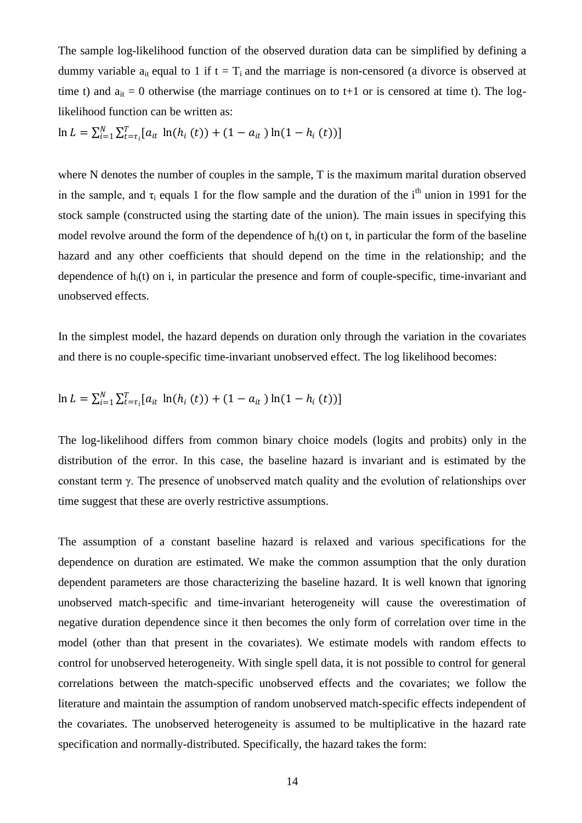The sample log-likelihood function of the observed duration data can be simplified by defining a dummy variable  $a_{it}$  equal to 1 if  $t = T_i$  and the marriage is non-censored (a divorce is observed at time t) and  $a_{it} = 0$  otherwise (the marriage continues on to t+1 or is censored at time t). The loglikelihood function can be written as:

$$
\ln L = \sum_{i=1}^{N} \sum_{t=\tau_i}^{T} [a_{it} \ln(h_i(t)) + (1 - a_{it}) \ln(1 - h_i(t))]
$$

where N denotes the number of couples in the sample, T is the maximum marital duration observed in the sample, and  $\tau_i$  equals 1 for the flow sample and the duration of the i<sup>th</sup> union in 1991 for the stock sample (constructed using the starting date of the union). The main issues in specifying this model revolve around the form of the dependence of  $h_i(t)$  on t, in particular the form of the baseline hazard and any other coefficients that should depend on the time in the relationship; and the dependence of  $h_i(t)$  on i, in particular the presence and form of couple-specific, time-invariant and unobserved effects.

In the simplest model, the hazard depends on duration only through the variation in the covariates and there is no couple-specific time-invariant unobserved effect. The log likelihood becomes:

$$
\ln L = \sum_{i=1}^{N} \sum_{t=\tau_i}^{T} [a_{it} \ln(h_i(t)) + (1 - a_{it}) \ln(1 - h_i(t))]
$$

The log-likelihood differs from common binary choice models (logits and probits) only in the distribution of the error. In this case, the baseline hazard is invariant and is estimated by the constant term  $\gamma$ . The presence of unobserved match quality and the evolution of relationships over time suggest that these are overly restrictive assumptions.

The assumption of a constant baseline hazard is relaxed and various specifications for the dependence on duration are estimated. We make the common assumption that the only duration dependent parameters are those characterizing the baseline hazard. It is well known that ignoring unobserved match-specific and time-invariant heterogeneity will cause the overestimation of negative duration dependence since it then becomes the only form of correlation over time in the model (other than that present in the covariates). We estimate models with random effects to control for unobserved heterogeneity. With single spell data, it is not possible to control for general correlations between the match-specific unobserved effects and the covariates; we follow the literature and maintain the assumption of random unobserved match-specific effects independent of the covariates. The unobserved heterogeneity is assumed to be multiplicative in the hazard rate specification and normally-distributed. Specifically, the hazard takes the form: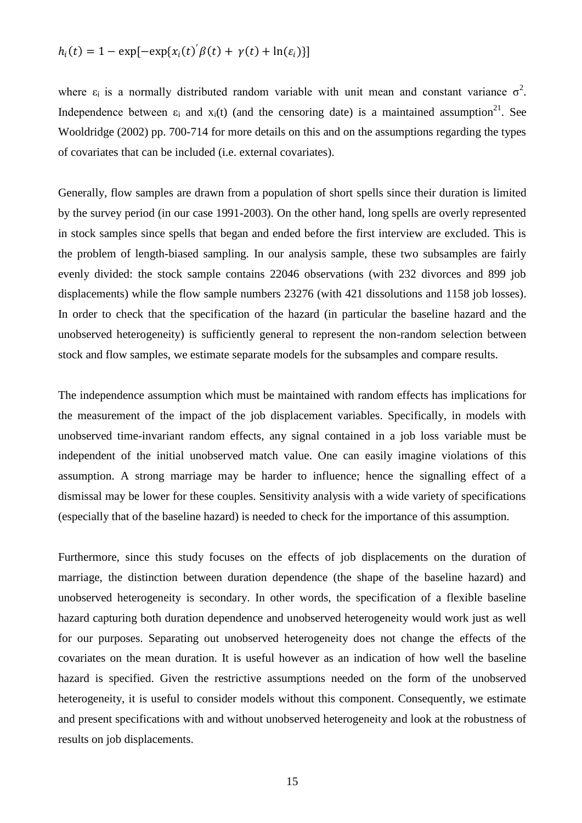$$
h_i(t) = 1 - \exp[-\exp(x_i(t)^\prime \beta(t) + \gamma(t) + \ln(\varepsilon_i))]
$$

where  $\varepsilon_i$  is a normally distributed random variable with unit mean and constant variance  $\sigma^2$ . Independence between  $\varepsilon_i$  and  $x_i(t)$  (and the censoring date) is a maintained assumption<sup>21</sup>. See Wooldridge (2002) pp. 700-714 for more details on this and on the assumptions regarding the types of covariates that can be included (i.e. external covariates).

Generally, flow samples are drawn from a population of short spells since their duration is limited by the survey period (in our case 1991-2003). On the other hand, long spells are overly represented in stock samples since spells that began and ended before the first interview are excluded. This is the problem of length-biased sampling. In our analysis sample, these two subsamples are fairly evenly divided: the stock sample contains 22046 observations (with 232 divorces and 899 job displacements) while the flow sample numbers 23276 (with 421 dissolutions and 1158 job losses). In order to check that the specification of the hazard (in particular the baseline hazard and the unobserved heterogeneity) is sufficiently general to represent the non-random selection between stock and flow samples, we estimate separate models for the subsamples and compare results.

The independence assumption which must be maintained with random effects has implications for the measurement of the impact of the job displacement variables. Specifically, in models with unobserved time-invariant random effects, any signal contained in a job loss variable must be independent of the initial unobserved match value. One can easily imagine violations of this assumption. A strong marriage may be harder to influence; hence the signalling effect of a dismissal may be lower for these couples. Sensitivity analysis with a wide variety of specifications (especially that of the baseline hazard) is needed to check for the importance of this assumption.

Furthermore, since this study focuses on the effects of job displacements on the duration of marriage, the distinction between duration dependence (the shape of the baseline hazard) and unobserved heterogeneity is secondary. In other words, the specification of a flexible baseline hazard capturing both duration dependence and unobserved heterogeneity would work just as well for our purposes. Separating out unobserved heterogeneity does not change the effects of the covariates on the mean duration. It is useful however as an indication of how well the baseline hazard is specified. Given the restrictive assumptions needed on the form of the unobserved heterogeneity, it is useful to consider models without this component. Consequently, we estimate and present specifications with and without unobserved heterogeneity and look at the robustness of results on job displacements.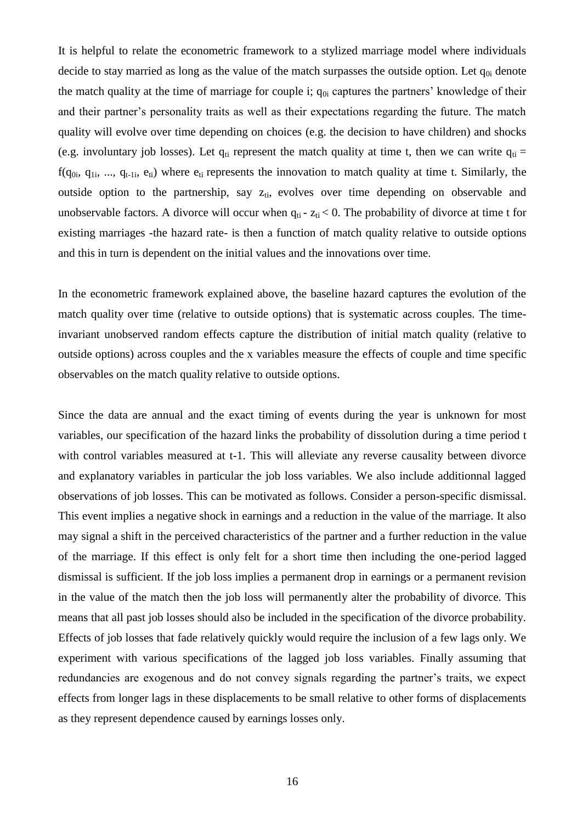It is helpful to relate the econometric framework to a stylized marriage model where individuals decide to stay married as long as the value of the match surpasses the outside option. Let  $q_{0i}$  denote the match quality at the time of marriage for couple i;  $q_{0i}$  captures the partners' knowledge of their and their partner's personality traits as well as their expectations regarding the future. The match quality will evolve over time depending on choices (e.g. the decision to have children) and shocks (e.g. involuntary job losses). Let  $q_{ti}$  represent the match quality at time t, then we can write  $q_{ti}$  =  $f(q_{0i}, q_{1i}, ..., q_{t-1i}, e_{ti})$  where  $e_{ti}$  represents the innovation to match quality at time t. Similarly, the outside option to the partnership, say  $z_{ti}$ , evolves over time depending on observable and unobservable factors. A divorce will occur when  $q_{ti}$  -  $z_{ti}$  < 0. The probability of divorce at time t for existing marriages -the hazard rate- is then a function of match quality relative to outside options and this in turn is dependent on the initial values and the innovations over time.

In the econometric framework explained above, the baseline hazard captures the evolution of the match quality over time (relative to outside options) that is systematic across couples. The timeinvariant unobserved random effects capture the distribution of initial match quality (relative to outside options) across couples and the x variables measure the effects of couple and time specific observables on the match quality relative to outside options.

Since the data are annual and the exact timing of events during the year is unknown for most variables, our specification of the hazard links the probability of dissolution during a time period t with control variables measured at t-1. This will alleviate any reverse causality between divorce and explanatory variables in particular the job loss variables. We also include additionnal lagged observations of job losses. This can be motivated as follows. Consider a person-specific dismissal. This event implies a negative shock in earnings and a reduction in the value of the marriage. It also may signal a shift in the perceived characteristics of the partner and a further reduction in the value of the marriage. If this effect is only felt for a short time then including the one-period lagged dismissal is sufficient. If the job loss implies a permanent drop in earnings or a permanent revision in the value of the match then the job loss will permanently alter the probability of divorce. This means that all past job losses should also be included in the specification of the divorce probability. Effects of job losses that fade relatively quickly would require the inclusion of a few lags only. We experiment with various specifications of the lagged job loss variables. Finally assuming that redundancies are exogenous and do not convey signals regarding the partner's traits, we expect effects from longer lags in these displacements to be small relative to other forms of displacements as they represent dependence caused by earnings losses only.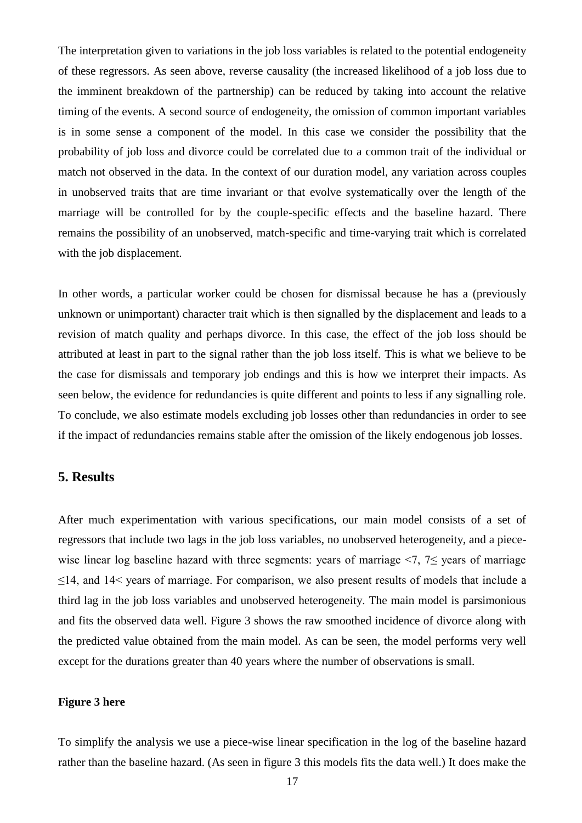The interpretation given to variations in the job loss variables is related to the potential endogeneity of these regressors. As seen above, reverse causality (the increased likelihood of a job loss due to the imminent breakdown of the partnership) can be reduced by taking into account the relative timing of the events. A second source of endogeneity, the omission of common important variables is in some sense a component of the model. In this case we consider the possibility that the probability of job loss and divorce could be correlated due to a common trait of the individual or match not observed in the data. In the context of our duration model, any variation across couples in unobserved traits that are time invariant or that evolve systematically over the length of the marriage will be controlled for by the couple-specific effects and the baseline hazard. There remains the possibility of an unobserved, match-specific and time-varying trait which is correlated with the job displacement.

In other words, a particular worker could be chosen for dismissal because he has a (previously unknown or unimportant) character trait which is then signalled by the displacement and leads to a revision of match quality and perhaps divorce. In this case, the effect of the job loss should be attributed at least in part to the signal rather than the job loss itself. This is what we believe to be the case for dismissals and temporary job endings and this is how we interpret their impacts. As seen below, the evidence for redundancies is quite different and points to less if any signalling role. To conclude, we also estimate models excluding job losses other than redundancies in order to see if the impact of redundancies remains stable after the omission of the likely endogenous job losses.

### **5. Results**

After much experimentation with various specifications, our main model consists of a set of regressors that include two lags in the job loss variables, no unobserved heterogeneity, and a piecewise linear log baseline hazard with three segments: years of marriage <7, 7≤ years of marriage ≤14, and 14< years of marriage. For comparison, we also present results of models that include a third lag in the job loss variables and unobserved heterogeneity. The main model is parsimonious and fits the observed data well. Figure 3 shows the raw smoothed incidence of divorce along with the predicted value obtained from the main model. As can be seen, the model performs very well except for the durations greater than 40 years where the number of observations is small.

#### **Figure 3 here**

To simplify the analysis we use a piece-wise linear specification in the log of the baseline hazard rather than the baseline hazard. (As seen in figure 3 this models fits the data well.) It does make the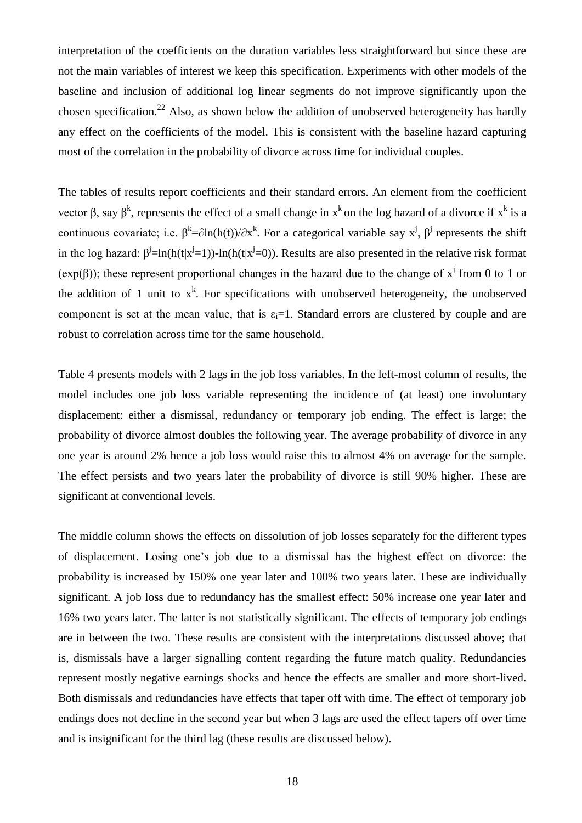interpretation of the coefficients on the duration variables less straightforward but since these are not the main variables of interest we keep this specification. Experiments with other models of the baseline and inclusion of additional log linear segments do not improve significantly upon the chosen specification.<sup>22</sup> Also, as shown below the addition of unobserved heterogeneity has hardly any effect on the coefficients of the model. This is consistent with the baseline hazard capturing most of the correlation in the probability of divorce across time for individual couples.

The tables of results report coefficients and their standard errors. An element from the coefficient vector  $\beta$ , say  $\beta^k$ , represents the effect of a small change in  $x^k$  on the log hazard of a divorce if  $x^k$  is a continuous covariate; i.e.  $\beta^k = \partial \ln(h(t))/\partial x^k$ . For a categorical variable say  $x^j$ ,  $\beta^j$  represents the shift in the log hazard:  $\beta^j = ln(h(t|x^j=1))$ -ln(h(t|x<sup>j</sup>=0)). Results are also presented in the relative risk format  $(exp(\beta))$ ; these represent proportional changes in the hazard due to the change of  $x^j$  from 0 to 1 or the addition of 1 unit to  $x<sup>k</sup>$ . For specifications with unobserved heterogeneity, the unobserved component is set at the mean value, that is  $\varepsilon_i=1$ . Standard errors are clustered by couple and are robust to correlation across time for the same household.

Table 4 presents models with 2 lags in the job loss variables. In the left-most column of results, the model includes one job loss variable representing the incidence of (at least) one involuntary displacement: either a dismissal, redundancy or temporary job ending. The effect is large; the probability of divorce almost doubles the following year. The average probability of divorce in any one year is around 2% hence a job loss would raise this to almost 4% on average for the sample. The effect persists and two years later the probability of divorce is still 90% higher. These are significant at conventional levels.

The middle column shows the effects on dissolution of job losses separately for the different types of displacement. Losing one's job due to a dismissal has the highest effect on divorce: the probability is increased by 150% one year later and 100% two years later. These are individually significant. A job loss due to redundancy has the smallest effect: 50% increase one year later and 16% two years later. The latter is not statistically significant. The effects of temporary job endings are in between the two. These results are consistent with the interpretations discussed above; that is, dismissals have a larger signalling content regarding the future match quality. Redundancies represent mostly negative earnings shocks and hence the effects are smaller and more short-lived. Both dismissals and redundancies have effects that taper off with time. The effect of temporary job endings does not decline in the second year but when 3 lags are used the effect tapers off over time and is insignificant for the third lag (these results are discussed below).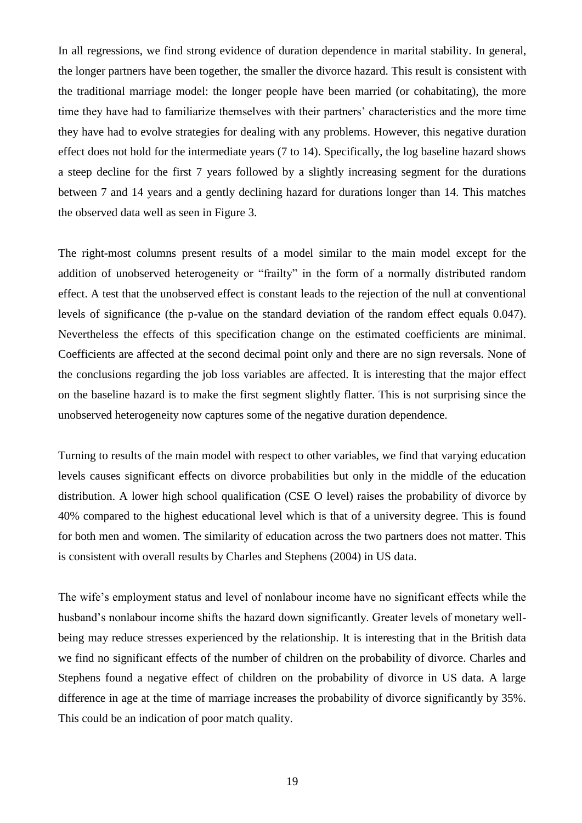In all regressions, we find strong evidence of duration dependence in marital stability. In general, the longer partners have been together, the smaller the divorce hazard. This result is consistent with the traditional marriage model: the longer people have been married (or cohabitating), the more time they have had to familiarize themselves with their partners' characteristics and the more time they have had to evolve strategies for dealing with any problems. However, this negative duration effect does not hold for the intermediate years (7 to 14). Specifically, the log baseline hazard shows a steep decline for the first 7 years followed by a slightly increasing segment for the durations between 7 and 14 years and a gently declining hazard for durations longer than 14. This matches the observed data well as seen in Figure 3.

The right-most columns present results of a model similar to the main model except for the addition of unobserved heterogeneity or "frailty" in the form of a normally distributed random effect. A test that the unobserved effect is constant leads to the rejection of the null at conventional levels of significance (the p-value on the standard deviation of the random effect equals 0.047). Nevertheless the effects of this specification change on the estimated coefficients are minimal. Coefficients are affected at the second decimal point only and there are no sign reversals. None of the conclusions regarding the job loss variables are affected. It is interesting that the major effect on the baseline hazard is to make the first segment slightly flatter. This is not surprising since the unobserved heterogeneity now captures some of the negative duration dependence.

Turning to results of the main model with respect to other variables, we find that varying education levels causes significant effects on divorce probabilities but only in the middle of the education distribution. A lower high school qualification (CSE O level) raises the probability of divorce by 40% compared to the highest educational level which is that of a university degree. This is found for both men and women. The similarity of education across the two partners does not matter. This is consistent with overall results by Charles and Stephens (2004) in US data.

The wife's employment status and level of nonlabour income have no significant effects while the husband's nonlabour income shifts the hazard down significantly. Greater levels of monetary wellbeing may reduce stresses experienced by the relationship. It is interesting that in the British data we find no significant effects of the number of children on the probability of divorce. Charles and Stephens found a negative effect of children on the probability of divorce in US data. A large difference in age at the time of marriage increases the probability of divorce significantly by 35%. This could be an indication of poor match quality.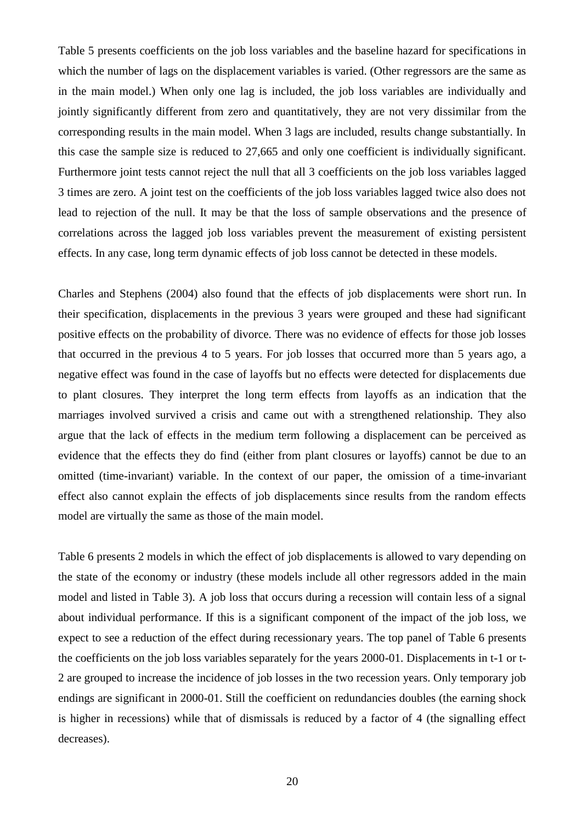Table 5 presents coefficients on the job loss variables and the baseline hazard for specifications in which the number of lags on the displacement variables is varied. (Other regressors are the same as in the main model.) When only one lag is included, the job loss variables are individually and jointly significantly different from zero and quantitatively, they are not very dissimilar from the corresponding results in the main model. When 3 lags are included, results change substantially. In this case the sample size is reduced to 27,665 and only one coefficient is individually significant. Furthermore joint tests cannot reject the null that all 3 coefficients on the job loss variables lagged 3 times are zero. A joint test on the coefficients of the job loss variables lagged twice also does not lead to rejection of the null. It may be that the loss of sample observations and the presence of correlations across the lagged job loss variables prevent the measurement of existing persistent effects. In any case, long term dynamic effects of job loss cannot be detected in these models.

Charles and Stephens (2004) also found that the effects of job displacements were short run. In their specification, displacements in the previous 3 years were grouped and these had significant positive effects on the probability of divorce. There was no evidence of effects for those job losses that occurred in the previous 4 to 5 years. For job losses that occurred more than 5 years ago, a negative effect was found in the case of layoffs but no effects were detected for displacements due to plant closures. They interpret the long term effects from layoffs as an indication that the marriages involved survived a crisis and came out with a strengthened relationship. They also argue that the lack of effects in the medium term following a displacement can be perceived as evidence that the effects they do find (either from plant closures or layoffs) cannot be due to an omitted (time-invariant) variable. In the context of our paper, the omission of a time-invariant effect also cannot explain the effects of job displacements since results from the random effects model are virtually the same as those of the main model.

Table 6 presents 2 models in which the effect of job displacements is allowed to vary depending on the state of the economy or industry (these models include all other regressors added in the main model and listed in Table 3). A job loss that occurs during a recession will contain less of a signal about individual performance. If this is a significant component of the impact of the job loss, we expect to see a reduction of the effect during recessionary years. The top panel of Table 6 presents the coefficients on the job loss variables separately for the years 2000-01. Displacements in t-1 or t-2 are grouped to increase the incidence of job losses in the two recession years. Only temporary job endings are significant in 2000-01. Still the coefficient on redundancies doubles (the earning shock is higher in recessions) while that of dismissals is reduced by a factor of 4 (the signalling effect decreases).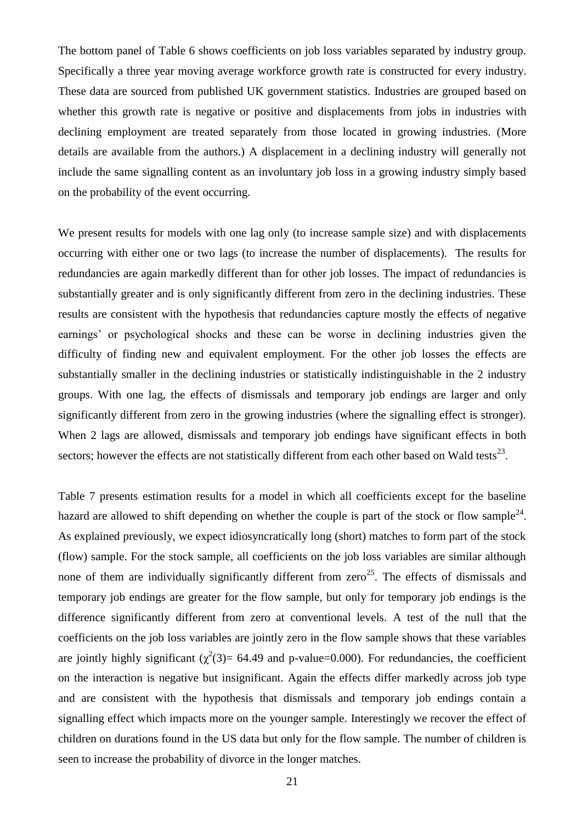The bottom panel of Table 6 shows coefficients on job loss variables separated by industry group. Specifically a three year moving average workforce growth rate is constructed for every industry. These data are sourced from published UK government statistics. Industries are grouped based on whether this growth rate is negative or positive and displacements from jobs in industries with declining employment are treated separately from those located in growing industries. (More details are available from the authors.) A displacement in a declining industry will generally not include the same signalling content as an involuntary job loss in a growing industry simply based on the probability of the event occurring.

We present results for models with one lag only (to increase sample size) and with displacements occurring with either one or two lags (to increase the number of displacements). The results for redundancies are again markedly different than for other job losses. The impact of redundancies is substantially greater and is only significantly different from zero in the declining industries. These results are consistent with the hypothesis that redundancies capture mostly the effects of negative earnings' or psychological shocks and these can be worse in declining industries given the difficulty of finding new and equivalent employment. For the other job losses the effects are substantially smaller in the declining industries or statistically indistinguishable in the 2 industry groups. With one lag, the effects of dismissals and temporary job endings are larger and only significantly different from zero in the growing industries (where the signalling effect is stronger). When 2 lags are allowed, dismissals and temporary job endings have significant effects in both sectors; however the effects are not statistically different from each other based on Wald tests<sup>23</sup>.

Table 7 presents estimation results for a model in which all coefficients except for the baseline hazard are allowed to shift depending on whether the couple is part of the stock or flow sample<sup>24</sup>. As explained previously, we expect idiosyncratically long (short) matches to form part of the stock (flow) sample. For the stock sample, all coefficients on the job loss variables are similar although none of them are individually significantly different from zero<sup>25</sup>. The effects of dismissals and temporary job endings are greater for the flow sample, but only for temporary job endings is the difference significantly different from zero at conventional levels. A test of the null that the coefficients on the job loss variables are jointly zero in the flow sample shows that these variables are jointly highly significant  $(\chi^2(3)= 64.49$  and p-value=0.000). For redundancies, the coefficient on the interaction is negative but insignificant. Again the effects differ markedly across job type and are consistent with the hypothesis that dismissals and temporary job endings contain a signalling effect which impacts more on the younger sample. Interestingly we recover the effect of children on durations found in the US data but only for the flow sample. The number of children is seen to increase the probability of divorce in the longer matches.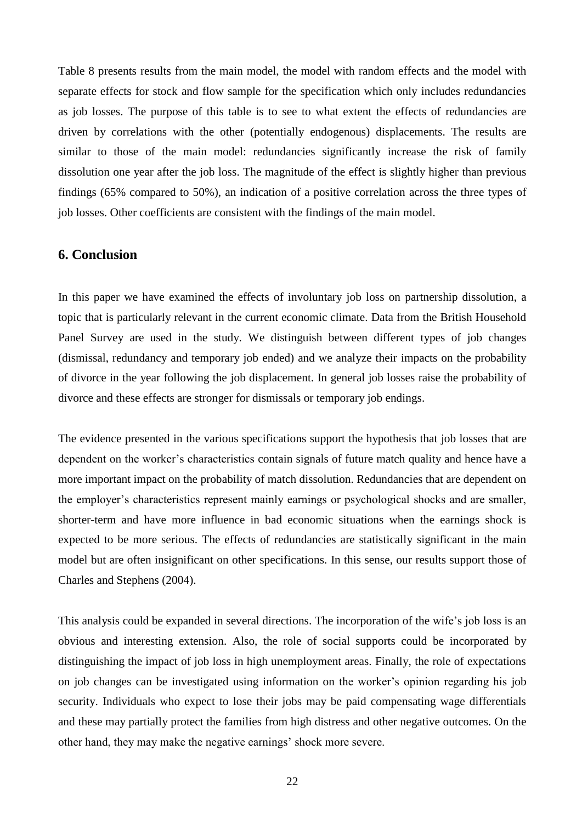Table 8 presents results from the main model, the model with random effects and the model with separate effects for stock and flow sample for the specification which only includes redundancies as job losses. The purpose of this table is to see to what extent the effects of redundancies are driven by correlations with the other (potentially endogenous) displacements. The results are similar to those of the main model: redundancies significantly increase the risk of family dissolution one year after the job loss. The magnitude of the effect is slightly higher than previous findings (65% compared to 50%), an indication of a positive correlation across the three types of job losses. Other coefficients are consistent with the findings of the main model.

### **6. Conclusion**

In this paper we have examined the effects of involuntary job loss on partnership dissolution, a topic that is particularly relevant in the current economic climate. Data from the British Household Panel Survey are used in the study. We distinguish between different types of job changes (dismissal, redundancy and temporary job ended) and we analyze their impacts on the probability of divorce in the year following the job displacement. In general job losses raise the probability of divorce and these effects are stronger for dismissals or temporary job endings.

The evidence presented in the various specifications support the hypothesis that job losses that are dependent on the worker's characteristics contain signals of future match quality and hence have a more important impact on the probability of match dissolution. Redundancies that are dependent on the employer's characteristics represent mainly earnings or psychological shocks and are smaller, shorter-term and have more influence in bad economic situations when the earnings shock is expected to be more serious. The effects of redundancies are statistically significant in the main model but are often insignificant on other specifications. In this sense, our results support those of Charles and Stephens (2004).

This analysis could be expanded in several directions. The incorporation of the wife's job loss is an obvious and interesting extension. Also, the role of social supports could be incorporated by distinguishing the impact of job loss in high unemployment areas. Finally, the role of expectations on job changes can be investigated using information on the worker's opinion regarding his job security. Individuals who expect to lose their jobs may be paid compensating wage differentials and these may partially protect the families from high distress and other negative outcomes. On the other hand, they may make the negative earnings' shock more severe.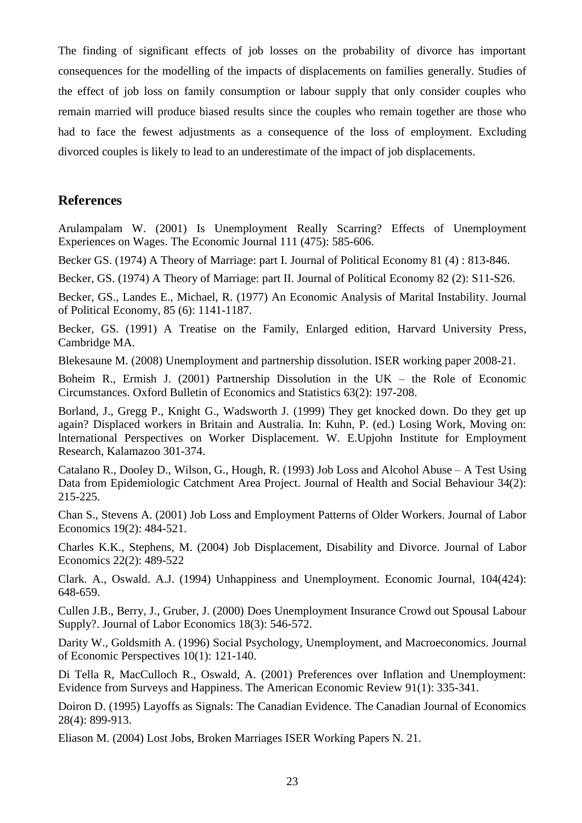The finding of significant effects of job losses on the probability of divorce has important consequences for the modelling of the impacts of displacements on families generally. Studies of the effect of job loss on family consumption or labour supply that only consider couples who remain married will produce biased results since the couples who remain together are those who had to face the fewest adjustments as a consequence of the loss of employment. Excluding divorced couples is likely to lead to an underestimate of the impact of job displacements.

### **References**

Arulampalam W. (2001) Is Unemployment Really Scarring? Effects of Unemployment Experiences on Wages. The Economic Journal 111 (475): 585-606.

Becker GS. (1974) A Theory of Marriage: part I. Journal of Political Economy 81 (4) : 813-846.

Becker, GS. (1974) A Theory of Marriage: part II. Journal of Political Economy 82 (2): S11-S26.

Becker, GS., Landes E., Michael, R. (1977) An Economic Analysis of Marital Instability. Journal of Political Economy*,* 85 (6): 1141-1187.

Becker, GS. (1991) A Treatise on the Family, Enlarged edition, Harvard University Press, Cambridge MA.

Blekesaune M. (2008) Unemployment and partnership dissolution. ISER working paper 2008-21.

Boheim R., Ermish J. (2001) Partnership Dissolution in the UK – the Role of Economic Circumstances. Oxford Bulletin of Economics and Statistics 63(2): 197-208.

Borland, J., Gregg P., Knight G., Wadsworth J. (1999) They get knocked down. Do they get up again? Displaced workers in Britain and Australia. In: Kuhn, P. (ed.) Losing Work, Moving on: lnternational Perspectives on Worker Displacement. W. E.Upjohn Institute for Employment Research, Kalamazoo 301-374.

Catalano R., Dooley D., Wilson, G., Hough, R. (1993) Job Loss and Alcohol Abuse – A Test Using Data from Epidemiologic Catchment Area Project. Journal of Health and Social Behaviour 34(2): 215-225.

Chan S., Stevens A. (2001) Job Loss and Employment Patterns of Older Workers. Journal of Labor Economics 19(2): 484-521.

Charles K.K., Stephens, M. (2004) Job Displacement, Disability and Divorce. Journal of Labor Economics 22(2): 489-522

Clark. A., Oswald. A.J. (1994) Unhappiness and Unemployment. Economic Journal, 104(424): 648-659.

Cullen J.B., Berry, J., Gruber, J. (2000) Does Unemployment Insurance Crowd out Spousal Labour Supply?. Journal of Labor Economics 18(3): 546-572.

Darity W., Goldsmith A. (1996) Social Psychology, Unemployment, and Macroeconomics. Journal of Economic Perspectives 10(1): 121-140.

Di Tella R, MacCulloch R., Oswald, A. (2001) Preferences over Inflation and Unemployment: Evidence from Surveys and Happiness. The American Economic Review 91(1): 335-341.

Doiron D. (1995) Layoffs as Signals: The Canadian Evidence. The Canadian Journal of Economics 28(4): 899-913.

Eliason M. (2004) Lost Jobs, Broken Marriages ISER Working Papers N. 21.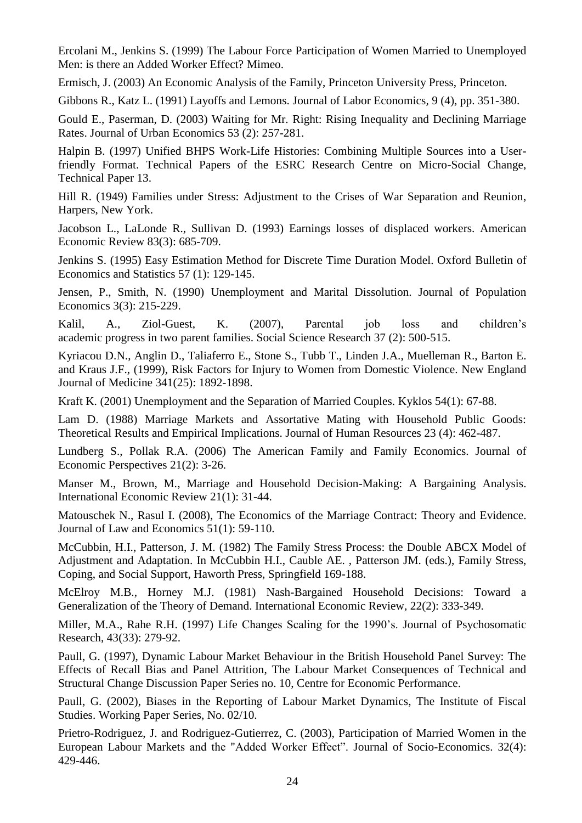Ercolani M., Jenkins S. (1999) The Labour Force Participation of Women Married to Unemployed Men: is there an Added Worker Effect? Mimeo.

Ermisch, J. (2003) An Economic Analysis of the Family, Princeton University Press, Princeton.

Gibbons R., Katz L. (1991) Layoffs and Lemons. Journal of Labor Economics*,* 9 (4), pp. 351-380.

Gould E., Paserman, D. (2003) Waiting for Mr. Right: Rising Inequality and Declining Marriage Rates. Journal of Urban Economics 53 (2): 257-281.

Halpin B. (1997) Unified BHPS Work-Life Histories: Combining Multiple Sources into a Userfriendly Format. Technical Papers of the ESRC Research Centre on Micro-Social Change, Technical Paper 13.

Hill R. (1949) Families under Stress: Adjustment to the Crises of War Separation and Reunion, Harpers, New York.

Jacobson L., LaLonde R., Sullivan D. (1993) Earnings losses of displaced workers. American Economic Review 83(3): 685-709.

Jenkins S. (1995) Easy Estimation Method for Discrete Time Duration Model. Oxford Bulletin of Economics and Statistics 57 (1): 129-145.

Jensen, P., Smith, N. (1990) Unemployment and Marital Dissolution. Journal of Population Economics 3(3): 215-229.

Kalil, A., Ziol-Guest, K. (2007), Parental job loss and children's academic progress in two parent families. Social Science Research 37 (2): 500-515.

Kyriacou D.N., Anglin D., Taliaferro E., Stone S., Tubb T., Linden J.A., Muelleman R., Barton E. and Kraus J.F., (1999), Risk Factors for Injury to Women from Domestic Violence. New England Journal of Medicine 341(25): 1892-1898.

Kraft K. (2001) Unemployment and the Separation of Married Couples. Kyklos 54(1): 67-88.

Lam D. (1988) Marriage Markets and Assortative Mating with Household Public Goods: Theoretical Results and Empirical Implications. Journal of Human Resources 23 (4): 462-487.

Lundberg S., Pollak R.A. (2006) The American Family and Family Economics. Journal of Economic Perspectives 21(2): 3-26.

Manser M., Brown, M., Marriage and Household Decision-Making: A Bargaining Analysis. International Economic Review 21(1): 31-44.

Matouschek N., Rasul I. (2008), The Economics of the Marriage Contract: Theory and Evidence. Journal of Law and Economics 51(1): 59-110.

McCubbin, H.I., Patterson, J. M. (1982) The Family Stress Process: the Double ABCX Model of Adjustment and Adaptation. In McCubbin H.I., Cauble AE. , Patterson JM. (eds.), Family Stress, Coping, and Social Support, Haworth Press, Springfield 169-188.

McElroy M.B., Horney M.J. (1981) Nash-Bargained Household Decisions: Toward a Generalization of the Theory of Demand. International Economic Review*,* 22(2): 333-349.

Miller, M.A., Rahe R.H. (1997) Life Changes Scaling for the 1990's. Journal of Psychosomatic Research, 43(33): 279-92.

Paull, G. (1997), Dynamic Labour Market Behaviour in the British Household Panel Survey: The Effects of Recall Bias and Panel Attrition, The Labour Market Consequences of Technical and Structural Change Discussion Paper Series no. 10, Centre for Economic Performance.

Paull, G. (2002), Biases in the Reporting of Labour Market Dynamics, The Institute of Fiscal Studies. Working Paper Series, No. 02/10.

Prietro-Rodriguez, J. and Rodriguez-Gutierrez, C. (2003), Participation of Married Women in the European Labour Markets and the "Added Worker Effect". Journal of Socio-Economics. 32(4): 429-446.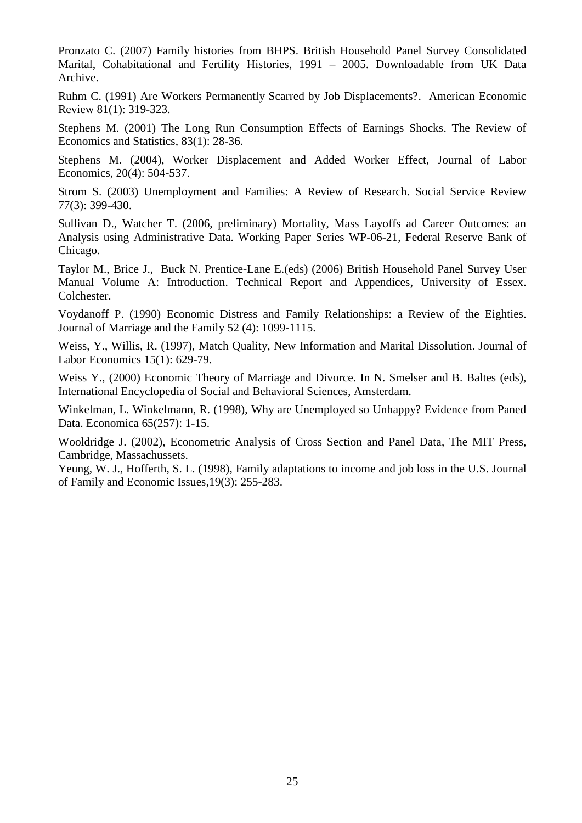Pronzato C. (2007) Family histories from BHPS. British Household Panel Survey Consolidated Marital, Cohabitational and Fertility Histories, 1991 – 2005. Downloadable from UK Data Archive.

Ruhm C. (1991) Are Workers Permanently Scarred by Job Displacements?. American Economic Review 81(1): 319-323.

Stephens M. (2001) The Long Run Consumption Effects of Earnings Shocks. The Review of Economics and Statistics, 83(1): 28-36.

Stephens M. (2004), Worker Displacement and Added Worker Effect, Journal of Labor Economics*,* 20(4): 504-537.

Strom S. (2003) Unemployment and Families: A Review of Research. Social Service Review 77(3): 399-430.

Sullivan D., Watcher T. (2006, preliminary) Mortality, Mass Layoffs ad Career Outcomes: an Analysis using Administrative Data. Working Paper Series WP-06-21, Federal Reserve Bank of Chicago.

Taylor M., Brice J., Buck N. Prentice-Lane E.(eds) (2006) British Household Panel Survey User Manual Volume A: Introduction. Technical Report and Appendices, University of Essex. Colchester.

Voydanoff P. (1990) Economic Distress and Family Relationships: a Review of the Eighties. Journal of Marriage and the Family 52 (4): 1099-1115.

Weiss, Y., Willis, R. (1997), Match Quality, New Information and Marital Dissolution. Journal of Labor Economics 15(1): 629-79.

Weiss Y., (2000) Economic Theory of Marriage and Divorce. In N. Smelser and B. Baltes (eds), International Encyclopedia of Social and Behavioral Sciences*,* Amsterdam.

Winkelman, L. Winkelmann, R. (1998), Why are Unemployed so Unhappy? Evidence from Paned Data. Economica 65(257): 1-15.

Wooldridge J. (2002), Econometric Analysis of Cross Section and Panel Data, The MIT Press, Cambridge, Massachussets.

Yeung, W. J., Hofferth, S. L. (1998), Family adaptations to income and job loss in the U.S. Journal of Family and Economic Issues*,*19(3): 255-283.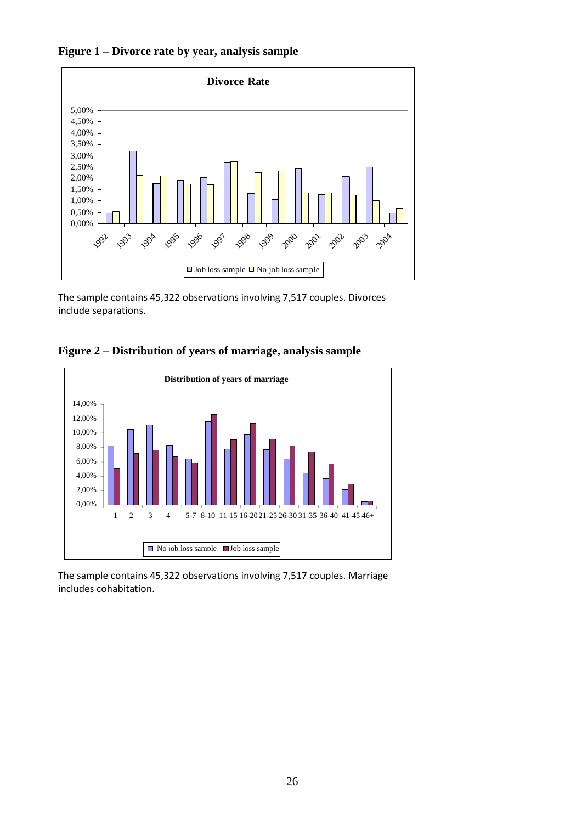**Figure 1 – Divorce rate by year, analysis sample**



The sample contains 45,322 observations involving 7,517 couples. Divorces include separations.



**Figure 2 – Distribution of years of marriage, analysis sample**

The sample contains 45,322 observations involving 7,517 couples. Marriage includes cohabitation.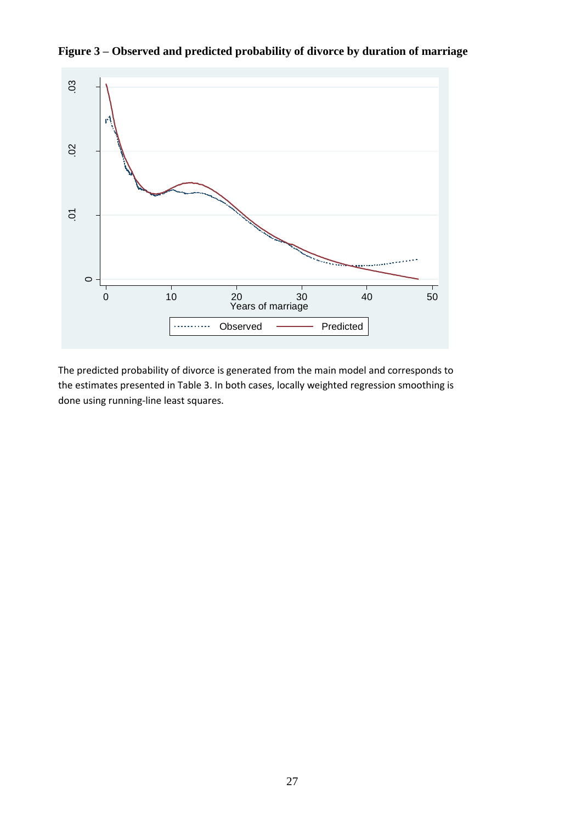**Figure 3 – Observed and predicted probability of divorce by duration of marriage**



The predicted probability of divorce is generated from the main model and corresponds to the estimates presented in Table 3. In both cases, locally weighted regression smoothing is done using running-line least squares.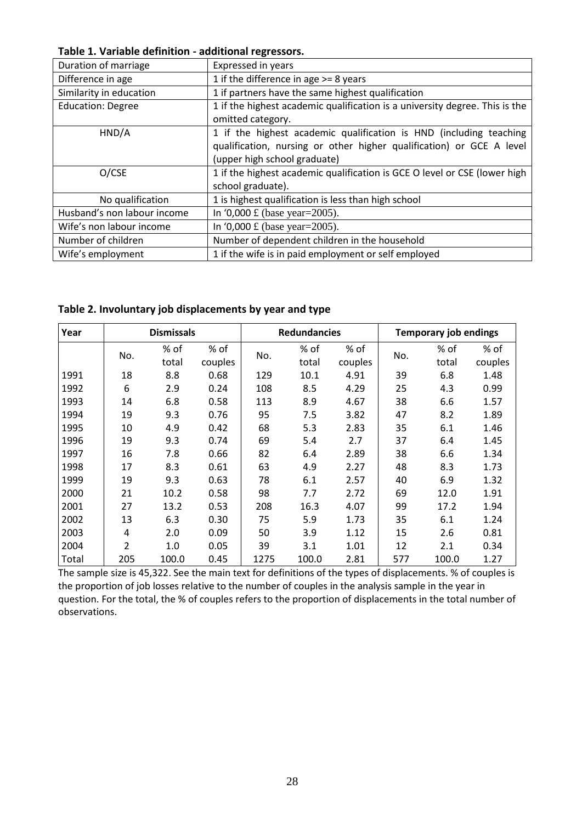**Table 1. Variable definition - additional regressors.**

| Duration of marriage        | Expressed in years                                                          |
|-----------------------------|-----------------------------------------------------------------------------|
| Difference in age           | 1 if the difference in age $>= 8$ years                                     |
| Similarity in education     | 1 if partners have the same highest qualification                           |
| <b>Education: Degree</b>    | 1 if the highest academic qualification is a university degree. This is the |
|                             | omitted category.                                                           |
| HND/A                       | 1 if the highest academic qualification is HND (including teaching          |
|                             | qualification, nursing or other higher qualification) or GCE A level        |
|                             | (upper high school graduate)                                                |
| O/CSE                       | 1 if the highest academic qualification is GCE O level or CSE (lower high   |
|                             | school graduate).                                                           |
| No qualification            | 1 is highest qualification is less than high school                         |
| Husband's non labour income | In $(0,000 \text{ f}$ (base year=2005).                                     |
| Wife's non labour income    | In $(0,000 \text{ f}$ (base year=2005).                                     |
| Number of children          | Number of dependent children in the household                               |
| Wife's employment           | 1 if the wife is in paid employment or self employed                        |

**Table 2. Involuntary job displacements by year and type**

| Year  | <b>Dismissals</b> |       |         |      | <b>Redundancies</b> |         |     | <b>Temporary job endings</b> |         |  |
|-------|-------------------|-------|---------|------|---------------------|---------|-----|------------------------------|---------|--|
|       |                   | % of  | % of    | No.  | % of                | % of    |     | % of                         | % of    |  |
|       | No.               | total | couples |      | total               | couples | No. | total                        | couples |  |
| 1991  | 18                | 8.8   | 0.68    | 129  | 10.1                | 4.91    | 39  | 6.8                          | 1.48    |  |
| 1992  | 6                 | 2.9   | 0.24    | 108  | 8.5                 | 4.29    | 25  | 4.3                          | 0.99    |  |
| 1993  | 14                | 6.8   | 0.58    | 113  | 8.9                 | 4.67    | 38  | 6.6                          | 1.57    |  |
| 1994  | 19                | 9.3   | 0.76    | 95   | 7.5                 | 3.82    | 47  | 8.2                          | 1.89    |  |
| 1995  | 10                | 4.9   | 0.42    | 68   | 5.3                 | 2.83    | 35  | 6.1                          | 1.46    |  |
| 1996  | 19                | 9.3   | 0.74    | 69   | 5.4                 | 2.7     | 37  | 6.4                          | 1.45    |  |
| 1997  | 16                | 7.8   | 0.66    | 82   | 6.4                 | 2.89    | 38  | 6.6                          | 1.34    |  |
| 1998  | 17                | 8.3   | 0.61    | 63   | 4.9                 | 2.27    | 48  | 8.3                          | 1.73    |  |
| 1999  | 19                | 9.3   | 0.63    | 78   | 6.1                 | 2.57    | 40  | 6.9                          | 1.32    |  |
| 2000  | 21                | 10.2  | 0.58    | 98   | 7.7                 | 2.72    | 69  | 12.0                         | 1.91    |  |
| 2001  | 27                | 13.2  | 0.53    | 208  | 16.3                | 4.07    | 99  | 17.2                         | 1.94    |  |
| 2002  | 13                | 6.3   | 0.30    | 75   | 5.9                 | 1.73    | 35  | 6.1                          | 1.24    |  |
| 2003  | 4                 | 2.0   | 0.09    | 50   | 3.9                 | 1.12    | 15  | 2.6                          | 0.81    |  |
| 2004  | 2                 | 1.0   | 0.05    | 39   | 3.1                 | 1.01    | 12  | 2.1                          | 0.34    |  |
| Total | 205               | 100.0 | 0.45    | 1275 | 100.0               | 2.81    | 577 | 100.0                        | 1.27    |  |

The sample size is 45,322. See the main text for definitions of the types of displacements. % of couples is the proportion of job losses relative to the number of couples in the analysis sample in the year in question. For the total, the % of couples refers to the proportion of displacements in the total number of observations.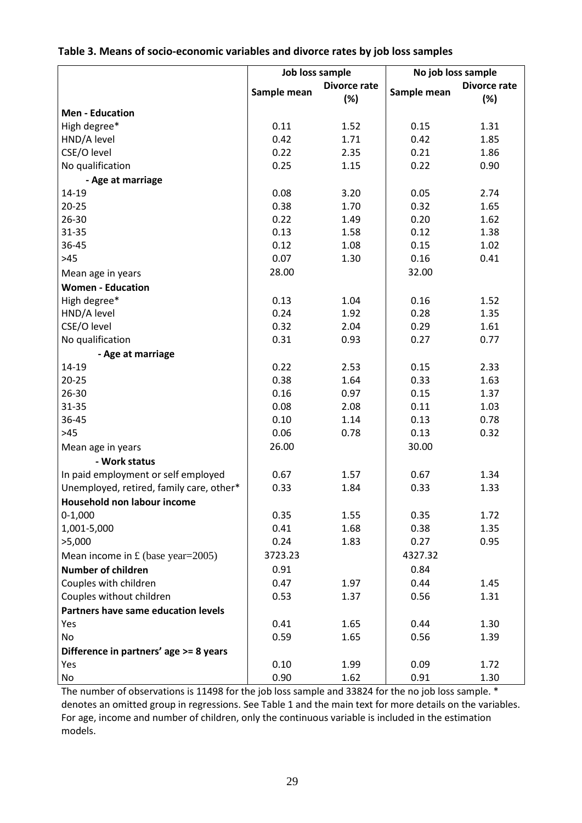|                                            | Job loss sample |                     | No job loss sample |                     |  |
|--------------------------------------------|-----------------|---------------------|--------------------|---------------------|--|
|                                            |                 | <b>Divorce rate</b> |                    | <b>Divorce rate</b> |  |
|                                            | Sample mean     | (%)                 | Sample mean        | (%)                 |  |
| <b>Men - Education</b>                     |                 |                     |                    |                     |  |
| High degree*                               | 0.11            | 1.52                | 0.15               | 1.31                |  |
| HND/A level                                | 0.42            | 1.71                | 0.42               | 1.85                |  |
| CSE/O level                                | 0.22            | 2.35                | 0.21               | 1.86                |  |
| No qualification                           | 0.25            | 1.15                | 0.22               | 0.90                |  |
| - Age at marriage                          |                 |                     |                    |                     |  |
| 14-19                                      | 0.08            | 3.20                | 0.05               | 2.74                |  |
| $20 - 25$                                  | 0.38            | 1.70                | 0.32               | 1.65                |  |
| 26-30                                      | 0.22            | 1.49                | 0.20               | 1.62                |  |
| 31-35                                      | 0.13            | 1.58                | 0.12               | 1.38                |  |
| 36-45                                      | 0.12            | 1.08                | 0.15               | 1.02                |  |
| $>45$                                      | 0.07            | 1.30                | 0.16               | 0.41                |  |
| Mean age in years                          | 28.00           |                     | 32.00              |                     |  |
| <b>Women - Education</b>                   |                 |                     |                    |                     |  |
| High degree*                               | 0.13            | 1.04                | 0.16               | 1.52                |  |
| HND/A level                                | 0.24            | 1.92                | 0.28               | 1.35                |  |
| CSE/O level                                | 0.32            | 2.04                | 0.29               | 1.61                |  |
| No qualification                           | 0.31            | 0.93                | 0.27               | 0.77                |  |
| - Age at marriage                          |                 |                     |                    |                     |  |
| 14-19                                      | 0.22            | 2.53                | 0.15               | 2.33                |  |
| $20 - 25$                                  | 0.38            | 1.64                | 0.33               | 1.63                |  |
| 26-30                                      | 0.16            | 0.97                | 0.15               | 1.37                |  |
| 31-35                                      | 0.08            | 2.08                | 0.11               | 1.03                |  |
| 36-45                                      | 0.10            | 1.14                | 0.13               | 0.78                |  |
| $>45$                                      | 0.06            | 0.78                | 0.13               | 0.32                |  |
| Mean age in years                          | 26.00           |                     | 30.00              |                     |  |
| - Work status                              |                 |                     |                    |                     |  |
| In paid employment or self employed        | 0.67            | 1.57                | 0.67               | 1.34                |  |
| Unemployed, retired, family care, other*   | 0.33            | 1.84                | 0.33               | 1.33                |  |
| Household non labour income                |                 |                     |                    |                     |  |
| $0-1,000$                                  | 0.35            | 1.55                | 0.35               | 1.72                |  |
| 1,001-5,000                                | 0.41            | 1.68                | 0.38               | 1.35                |  |
| >5,000                                     | 0.24            | 1.83                | 0.27               | 0.95                |  |
| Mean income in £ (base year= $2005$ )      | 3723.23         |                     | 4327.32            |                     |  |
| <b>Number of children</b>                  | 0.91            |                     | 0.84               |                     |  |
| Couples with children                      | 0.47            | 1.97                | 0.44               | 1.45                |  |
| Couples without children                   | 0.53            | 1.37                | 0.56               | 1.31                |  |
| <b>Partners have same education levels</b> |                 |                     |                    |                     |  |
| Yes                                        | 0.41            | 1.65                | 0.44               | 1.30                |  |
| <b>No</b>                                  | 0.59            | 1.65                | 0.56               | 1.39                |  |
| Difference in partners' age >= 8 years     |                 |                     |                    |                     |  |
| Yes                                        | 0.10            | 1.99                | 0.09               | 1.72                |  |
| No                                         | 0.90            | 1.62                | 0.91               | 1.30                |  |

## **Table 3. Means of socio-economic variables and divorce rates by job loss samples**

The number of observations is 11498 for the job loss sample and 33824 for the no job loss sample. \* denotes an omitted group in regressions. See Table 1 and the main text for more details on the variables. For age, income and number of children, only the continuous variable is included in the estimation models.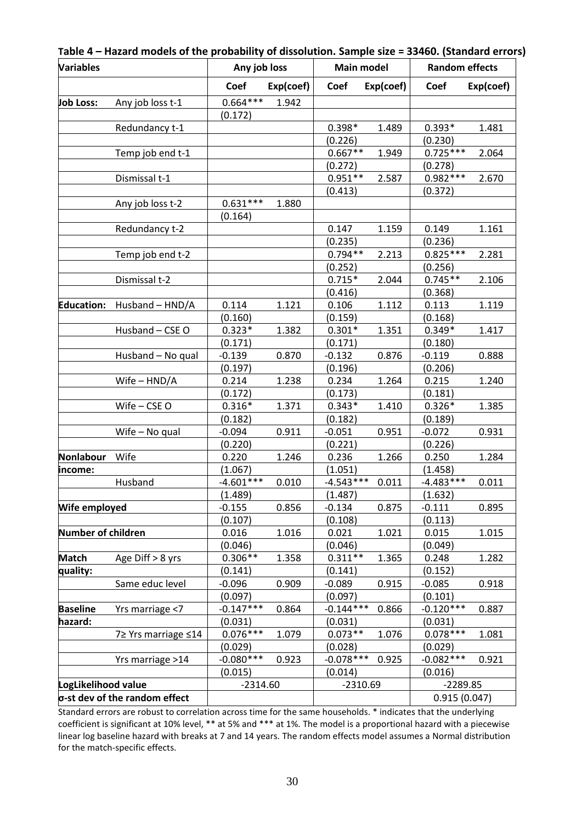| <b>Variables</b>              |                            | Any job loss |           |             | <b>Main model</b> | <b>Random effects</b> |           |
|-------------------------------|----------------------------|--------------|-----------|-------------|-------------------|-----------------------|-----------|
|                               |                            | Coef         | Exp(coef) | Coef        | Exp(coef)         | Coef                  | Exp(coef) |
| <b>Job Loss:</b>              | Any job loss t-1           | $0.664***$   | 1.942     |             |                   |                       |           |
|                               |                            | (0.172)      |           |             |                   |                       |           |
|                               | Redundancy t-1             |              |           | $0.398*$    | 1.489             | $0.393*$              | 1.481     |
|                               |                            |              |           | (0.226)     |                   | (0.230)               |           |
|                               | Temp job end t-1           |              |           | $0.667**$   | 1.949             | $0.725***$            | 2.064     |
|                               |                            |              |           | (0.272)     |                   | (0.278)               |           |
|                               | Dismissal t-1              |              |           | $0.951**$   | 2.587             | $0.982***$            | 2.670     |
|                               |                            |              |           | (0.413)     |                   | (0.372)               |           |
|                               | Any job loss t-2           | $0.631***$   | 1.880     |             |                   |                       |           |
|                               |                            | (0.164)      |           |             |                   |                       |           |
|                               | Redundancy t-2             |              |           | 0.147       | 1.159             | 0.149                 | 1.161     |
|                               |                            |              |           | (0.235)     |                   | (0.236)               |           |
|                               | Temp job end t-2           |              |           | $0.794**$   | 2.213             | $0.825***$            | 2.281     |
|                               |                            |              |           | (0.252)     |                   | (0.256)               |           |
|                               | Dismissal t-2              |              |           | $0.715*$    | 2.044             | $0.745**$             | 2.106     |
|                               |                            |              |           | (0.416)     |                   | (0.368)               |           |
|                               | Education: Husband - HND/A | 0.114        | 1.121     | 0.106       | 1.112             | 0.113                 | 1.119     |
|                               |                            | (0.160)      |           | (0.159)     |                   | (0.168)               |           |
|                               | Husband - CSE O            | $0.323*$     | 1.382     | $0.301*$    | 1.351             | $0.349*$              | 1.417     |
|                               |                            | (0.171)      |           | (0.171)     |                   | (0.180)               |           |
|                               | Husband - No qual          | $-0.139$     | 0.870     | $-0.132$    | 0.876             | $-0.119$              | 0.888     |
|                               |                            | (0.197)      |           | (0.196)     |                   | (0.206)               |           |
|                               | Wife $-$ HND/A             | 0.214        | 1.238     | 0.234       | 1.264             | 0.215                 | 1.240     |
|                               |                            | (0.172)      |           | (0.173)     |                   | (0.181)               |           |
|                               | $Wife - CSEO$              | $0.316*$     | 1.371     | $0.343*$    | 1.410             | $0.326*$              | 1.385     |
|                               |                            | (0.182)      |           | (0.182)     |                   | (0.189)               |           |
|                               | Wife - No qual             | $-0.094$     | 0.911     | $-0.051$    | 0.951             | $-0.072$              | 0.931     |
|                               |                            | (0.220)      |           | (0.221)     |                   | (0.226)               |           |
| Nonlabour Wife                |                            | 0.220        | 1.246     | 0.236       | 1.266             | 0.250                 | 1.284     |
| income:                       |                            | (1.067)      |           | (1.051)     |                   | (1.458)               |           |
|                               | Husband                    | $-4.601***$  | 0.010     |             | $-4.543***$ 0.011 | $-4.483***$           | 0.011     |
|                               |                            | (1.489)      |           | (1.487)     |                   | (1.632)               |           |
| Wife employed                 |                            | $-0.155$     | 0.856     | $-0.134$    | 0.875             | $-0.111$              | 0.895     |
|                               |                            | (0.107)      |           | (0.108)     |                   | (0.113)               |           |
| Number of children            |                            | 0.016        | 1.016     | 0.021       | 1.021             | 0.015                 | 1.015     |
|                               |                            | (0.046)      |           | (0.046)     |                   | (0.049)               |           |
| <b>Match</b>                  | Age Diff > 8 yrs           | $0.306**$    | 1.358     | $0.311**$   | 1.365             | 0.248                 | 1.282     |
| quality:                      |                            | (0.141)      |           | (0.141)     |                   | (0.152)               |           |
|                               | Same educ level            | $-0.096$     | 0.909     | $-0.089$    | 0.915             | $-0.085$              | 0.918     |
|                               |                            | (0.097)      |           | (0.097)     |                   | (0.101)               |           |
| <b>Baseline</b>               | Yrs marriage <7            | $-0.147***$  | 0.864     | $-0.144***$ | 0.866             | $-0.120***$           | 0.887     |
| hazard:                       |                            | (0.031)      |           | (0.031)     |                   | (0.031)               |           |
|                               | 7≥ Yrs marriage ≤14        | $0.076***$   | 1.079     | $0.073**$   | 1.076             | $0.078***$            | 1.081     |
|                               |                            | (0.029)      |           | (0.028)     |                   | (0.029)               |           |
|                               | Yrs marriage >14           | $-0.080***$  | 0.923     | $-0.078***$ | 0.925             | $-0.082***$           | 0.921     |
|                               |                            | (0.015)      |           | (0.014)     |                   | (0.016)               |           |
| LogLikelihood value           |                            | $-2314.60$   |           | $-2310.69$  |                   | $-2289.85$            |           |
| o-st dev of the random effect |                            |              |           |             |                   | 0.915(0.047)          |           |

**Table 4 – Hazard models of the probability of dissolution. Sample size = 33460. (Standard errors)**

Standard errors are robust to correlation across time for the same households. \* indicates that the underlying coefficient is significant at 10% level, \*\* at 5% and \*\*\* at 1%. The model is a proportional hazard with a piecewise linear log baseline hazard with breaks at 7 and 14 years. The random effects model assumes a Normal distribution for the match-specific effects.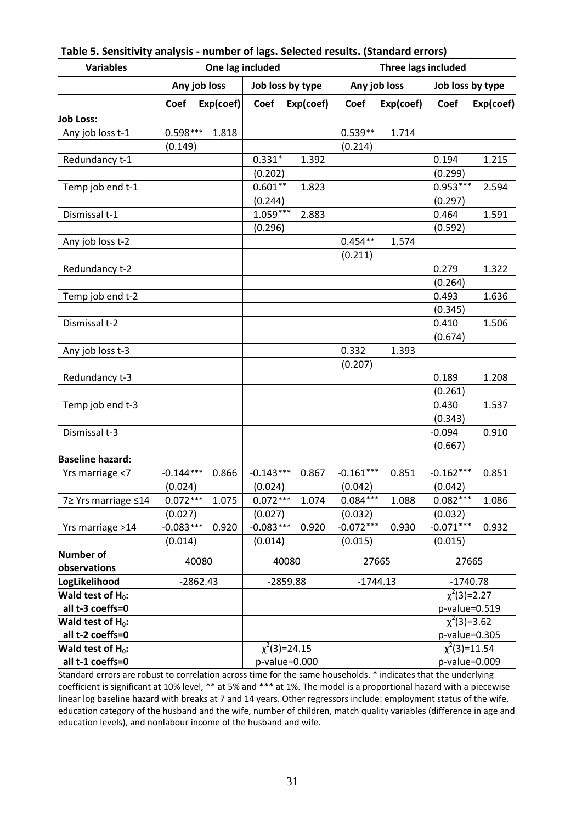| <b>Variables</b>              | One lag included |            |                   |                  | Three lags included |              |                   |           |  |  |
|-------------------------------|------------------|------------|-------------------|------------------|---------------------|--------------|-------------------|-----------|--|--|
|                               | Any job loss     |            |                   | Job loss by type |                     | Any job loss | Job loss by type  |           |  |  |
|                               | Coef             | Exp(coef)  | Coef              | Exp(coef)        | Coef                | Exp(coef)    | <b>Coef</b>       | Exp(coef) |  |  |
| <b>Job Loss:</b>              |                  |            |                   |                  |                     |              |                   |           |  |  |
| Any job loss t-1              | $0.598***$       | 1.818      |                   |                  | $0.539**$           | 1.714        |                   |           |  |  |
|                               | (0.149)          |            |                   |                  | (0.214)             |              |                   |           |  |  |
| Redundancy t-1                |                  |            | $0.331*$          | 1.392            |                     |              | 0.194             | 1.215     |  |  |
|                               |                  |            | (0.202)           |                  |                     |              | (0.299)           |           |  |  |
| Temp job end t-1              |                  |            | $0.601**$         | 1.823            |                     |              | $0.953***$        | 2.594     |  |  |
|                               |                  |            | (0.244)           |                  |                     |              | (0.297)           |           |  |  |
| Dismissal t-1                 |                  |            | $1.059***$        | 2.883            |                     |              | 0.464             | 1.591     |  |  |
|                               |                  |            | (0.296)           |                  |                     |              | (0.592)           |           |  |  |
| Any job loss t-2              |                  |            |                   |                  | $0.454**$           | 1.574        |                   |           |  |  |
|                               |                  |            |                   |                  | (0.211)             |              |                   |           |  |  |
| Redundancy t-2                |                  |            |                   |                  |                     |              | 0.279             | 1.322     |  |  |
|                               |                  |            |                   |                  |                     |              | (0.264)           |           |  |  |
| Temp job end t-2              |                  |            |                   |                  |                     |              | 0.493             | 1.636     |  |  |
|                               |                  |            |                   |                  |                     |              | (0.345)           |           |  |  |
| Dismissal t-2                 |                  |            |                   |                  |                     |              | 0.410             | 1.506     |  |  |
|                               |                  |            |                   |                  |                     |              | (0.674)           |           |  |  |
| Any job loss t-3              |                  |            |                   |                  | 0.332               | 1.393        |                   |           |  |  |
|                               |                  |            |                   |                  | (0.207)             |              |                   |           |  |  |
| Redundancy t-3                |                  |            |                   |                  |                     |              | 0.189             | 1.208     |  |  |
|                               |                  |            |                   |                  |                     |              | (0.261)           |           |  |  |
| Temp job end t-3              |                  |            |                   |                  |                     |              | 0.430             | 1.537     |  |  |
|                               |                  |            |                   |                  |                     |              | (0.343)           |           |  |  |
| Dismissal t-3                 |                  |            |                   |                  |                     |              | $-0.094$          | 0.910     |  |  |
|                               |                  |            |                   |                  |                     |              | (0.667)           |           |  |  |
| <b>Baseline hazard:</b>       |                  |            |                   |                  |                     |              |                   |           |  |  |
| Yrs marriage <7               | $-0.144***$      | 0.866      | $-0.143***$       | 0.867            | $-0.161***$         | 0.851        | $-0.162***$       | 0.851     |  |  |
|                               | (0.024)          |            | (0.024)           |                  | (0.042)             |              | (0.042)           |           |  |  |
| 7≥ Yrs marriage ≤14           | $0.072***$       | 1.075      | $0.072***$        | 1.074            | $0.084***$          | 1.088        | $0.082***$        | 1.086     |  |  |
|                               | (0.027)          |            | (0.027)           |                  | (0.032)             |              | (0.032)           |           |  |  |
| Yrs marriage >14              | $-0.083***$      | 0.920      | $-0.083***$       | 0.920            | $-0.072***$         | 0.930        | $-0.071***$       | 0.932     |  |  |
|                               | (0.014)          |            | (0.014)           |                  | (0.015)             |              | (0.015)           |           |  |  |
| Number of                     |                  |            |                   |                  |                     |              |                   |           |  |  |
| observations                  | 40080            |            | 40080             |                  | 27665               |              | 27665             |           |  |  |
| LogLikelihood                 |                  | $-2862.43$ | $-2859.88$        |                  | $-1744.13$          |              | $-1740.78$        |           |  |  |
| Wald test of H <sub>0</sub> : |                  |            |                   |                  |                     |              | $\chi^2(3)=2.27$  |           |  |  |
| all t-3 coeffs=0              |                  |            |                   |                  |                     |              | p-value=0.519     |           |  |  |
| Wald test of $H_0$ :          |                  |            |                   |                  |                     |              | $\chi^2(3)=3.62$  |           |  |  |
| all t-2 coeffs=0              |                  |            |                   |                  |                     |              | p-value=0.305     |           |  |  |
| Wald test of $H_0$ :          |                  |            | $\chi^2(3)=24.15$ |                  |                     |              | $\chi^2(3)=11.54$ |           |  |  |
| all t-1 coeffs=0              |                  |            | p-value=0.000     |                  |                     |              | p-value=0.009     |           |  |  |

**Table 5. Sensitivity analysis - number of lags. Selected results. (Standard errors)**

Standard errors are robust to correlation across time for the same households. \* indicates that the underlying coefficient is significant at 10% level, \*\* at 5% and \*\*\* at 1%. The model is a proportional hazard with a piecewise linear log baseline hazard with breaks at 7 and 14 years. Other regressors include: employment status of the wife, education category of the husband and the wife, number of children, match quality variables (difference in age and education levels), and nonlabour income of the husband and wife.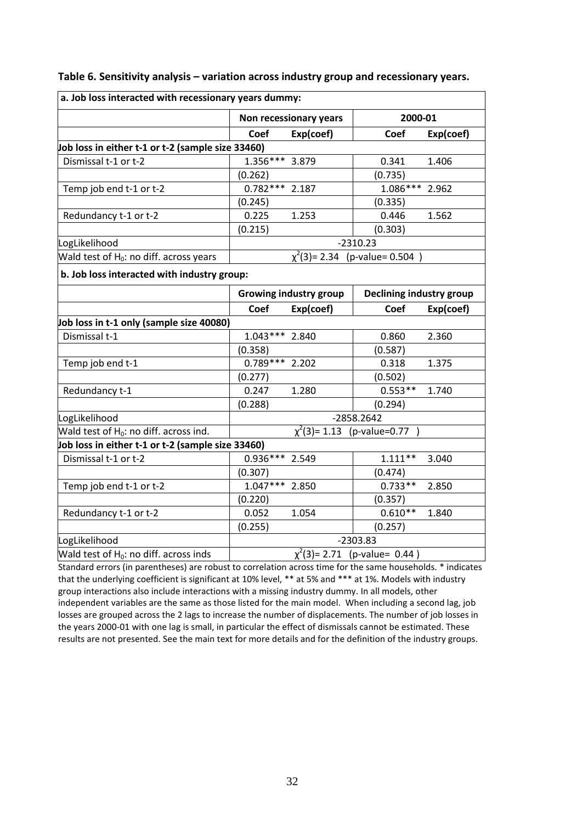| a. Job loss interacted with recessionary years dummy: |             |                               |                                     |           |  |  |  |
|-------------------------------------------------------|-------------|-------------------------------|-------------------------------------|-----------|--|--|--|
|                                                       |             | Non recessionary years        | 2000-01                             |           |  |  |  |
|                                                       | <b>Coef</b> | Exp(coef)                     | <b>Coef</b>                         | Exp(coef) |  |  |  |
| Job loss in either t-1 or t-2 (sample size 33460)     |             |                               |                                     |           |  |  |  |
| Dismissal t-1 or t-2                                  | $1.356***$  | 3.879                         | 0.341                               | 1.406     |  |  |  |
|                                                       | (0.262)     |                               | (0.735)                             |           |  |  |  |
| Temp job end t-1 or t-2                               | $0.782***$  | 2.187                         | $1.086***$                          | 2.962     |  |  |  |
|                                                       | (0.245)     |                               | (0.335)                             |           |  |  |  |
| Redundancy t-1 or t-2                                 | 0.225       | 1.253                         | 0.446                               | 1.562     |  |  |  |
|                                                       | (0.215)     |                               | (0.303)                             |           |  |  |  |
| LogLikelihood                                         |             |                               | $-2310.23$                          |           |  |  |  |
| Wald test of $H_0$ : no diff. across years            |             |                               | $\chi^2(3)$ = 2.34 (p-value= 0.504) |           |  |  |  |
| b. Job loss interacted with industry group:           |             |                               |                                     |           |  |  |  |
|                                                       |             | <b>Growing industry group</b> | Declining industry group            |           |  |  |  |
|                                                       | Coef        | Exp(coef)                     | Coef                                | Exp(coef) |  |  |  |
| Job loss in t-1 only (sample size 40080)              |             |                               |                                     |           |  |  |  |
| Dismissal t-1                                         | $1.043***$  | 2.840                         | 0.860                               | 2.360     |  |  |  |
|                                                       | (0.358)     |                               | (0.587)                             |           |  |  |  |
| Temp job end t-1                                      | $0.789***$  | 2.202                         | 0.318                               | 1.375     |  |  |  |
|                                                       | (0.277)     |                               | (0.502)                             |           |  |  |  |
| Redundancy t-1                                        | 0.247       | 1.280                         | $0.553**$                           | 1.740     |  |  |  |
|                                                       | (0.288)     |                               | (0.294)                             |           |  |  |  |
| LogLikelihood                                         |             |                               | -2858.2642                          |           |  |  |  |
| Wald test of H <sub>0</sub> : no diff. across ind.    |             | $\chi^2(3)$ = 1.13            | $(p-value=0.77)$                    |           |  |  |  |
| Job loss in either t-1 or t-2 (sample size 33460)     |             |                               |                                     |           |  |  |  |
| Dismissal t-1 or t-2                                  | $0.936***$  | 2.549                         | $1.111**$                           | 3.040     |  |  |  |
|                                                       | (0.307)     |                               | (0.474)                             |           |  |  |  |
| Temp job end t-1 or t-2                               | $1.047***$  | 2.850                         | $0.733**$                           | 2.850     |  |  |  |
|                                                       | (0.220)     |                               | (0.357)                             |           |  |  |  |
| Redundancy t-1 or t-2                                 | 0.052       | 1.054                         | $0.610**$                           | 1.840     |  |  |  |
|                                                       | (0.255)     |                               | (0.257)                             |           |  |  |  |
| LogLikelihood                                         |             |                               | $-2303.83$                          |           |  |  |  |
| Wald test of $H_0$ : no diff. across inds             |             |                               | $\chi^2(3)$ = 2.71 (p-value= 0.44)  |           |  |  |  |

**Table 6. Sensitivity analysis – variation across industry group and recessionary years.** 

Standard errors (in parentheses) are robust to correlation across time for the same households. \* indicates that the underlying coefficient is significant at 10% level, \*\* at 5% and \*\*\* at 1%. Models with industry group interactions also include interactions with a missing industry dummy. In all models, other independent variables are the same as those listed for the main model. When including a second lag, job losses are grouped across the 2 lags to increase the number of displacements. The number of job losses in the years 2000-01 with one lag is small, in particular the effect of dismissals cannot be estimated. These results are not presented. See the main text for more details and for the definition of the industry groups.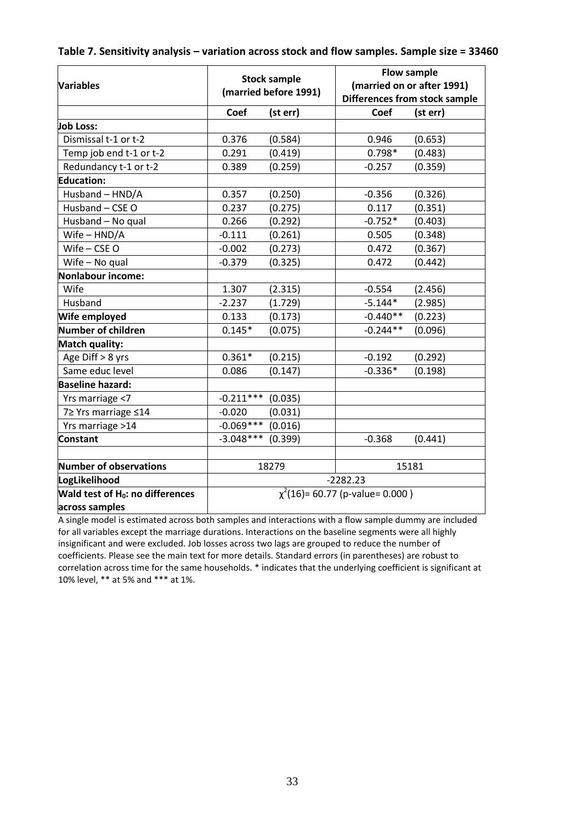| <b>Variables</b>                             |                | <b>Stock sample</b>   | <b>Flow sample</b><br>(married on or after 1991) |                                      |  |  |
|----------------------------------------------|----------------|-----------------------|--------------------------------------------------|--------------------------------------|--|--|
|                                              |                | (married before 1991) |                                                  | <b>Differences from stock sample</b> |  |  |
|                                              | Coef           | (st err)              | Coef                                             | (st err)                             |  |  |
| Job Loss:                                    |                |                       |                                                  |                                      |  |  |
| Dismissal t-1 or t-2                         | 0.376          | (0.584)               | 0.946                                            | (0.653)                              |  |  |
| Temp job end t-1 or t-2                      | 0.291          | (0.419)               | $0.798*$                                         | (0.483)                              |  |  |
| Redundancy t-1 or t-2                        | 0.389          | (0.259)               | $-0.257$                                         | (0.359)                              |  |  |
| <b>Education:</b>                            |                |                       |                                                  |                                      |  |  |
| Husband - HND/A                              | 0.357          | (0.250)               | $-0.356$                                         | (0.326)                              |  |  |
| Husband - CSE O                              | 0.237          | (0.275)               | 0.117                                            | (0.351)                              |  |  |
| Husband - No qual                            | 0.266          | (0.292)               | $-0.752*$                                        | (0.403)                              |  |  |
| Wife $-$ HND/A                               | $-0.111$       | (0.261)               | 0.505                                            | (0.348)                              |  |  |
| $Wife - CSEO$                                | $-0.002$       | (0.273)               | 0.472                                            | (0.367)                              |  |  |
| Wife - No qual                               | $-0.379$       | (0.325)               | 0.472                                            | (0.442)                              |  |  |
| Nonlabour income:                            |                |                       |                                                  |                                      |  |  |
| Wife                                         | 1.307          | (2.315)               | $-0.554$                                         | (2.456)                              |  |  |
| Husband                                      | $-2.237$       | (1.729)               | $-5.144*$                                        | (2.985)                              |  |  |
| Wife employed                                | 0.133          | (0.173)               | $-0.440**$                                       | (0.223)                              |  |  |
| <b>Number of children</b>                    | $0.145*$       | (0.075)               | $-0.244**$                                       | (0.096)                              |  |  |
| Match quality:                               |                |                       |                                                  |                                      |  |  |
| Age Diff > 8 yrs                             | $0.361*$       | (0.215)               | $-0.192$                                         | (0.292)                              |  |  |
| Same educ level                              | 0.086          | (0.147)               | $-0.336*$                                        | (0.198)                              |  |  |
| <b>Baseline hazard:</b>                      |                |                       |                                                  |                                      |  |  |
| Yrs marriage <7                              | $-0.211***$    | (0.035)               |                                                  |                                      |  |  |
| 7≥ Yrs marriage ≤14                          | $-0.020$       | (0.031)               |                                                  |                                      |  |  |
| Yrs marriage >14                             | $-0.069***$    | (0.016)               |                                                  |                                      |  |  |
| <b>Constant</b>                              | $-3.048***$    | (0.399)               | $-0.368$                                         | (0.441)                              |  |  |
|                                              |                |                       |                                                  |                                      |  |  |
| Number of observations                       | 18279<br>15181 |                       |                                                  |                                      |  |  |
| LogLikelihood                                |                |                       | $-2282.23$                                       |                                      |  |  |
| Wald test of H <sub>0</sub> : no differences |                |                       | $\chi^2(16)$ = 60.77 (p-value= 0.000)            |                                      |  |  |
| across samples                               |                |                       |                                                  |                                      |  |  |

**Table 7. Sensitivity analysis – variation across stock and flow samples. Sample size = 33460**

A single model is estimated across both samples and interactions with a flow sample dummy are included for all variables except the marriage durations. Interactions on the baseline segments were all highly insignificant and were excluded. Job losses across two lags are grouped to reduce the number of coefficients. Please see the main text for more details. Standard errors (in parentheses) are robust to correlation across time for the same households. \* indicates that the underlying coefficient is significant at 10% level, \*\* at 5% and \*\*\* at 1%.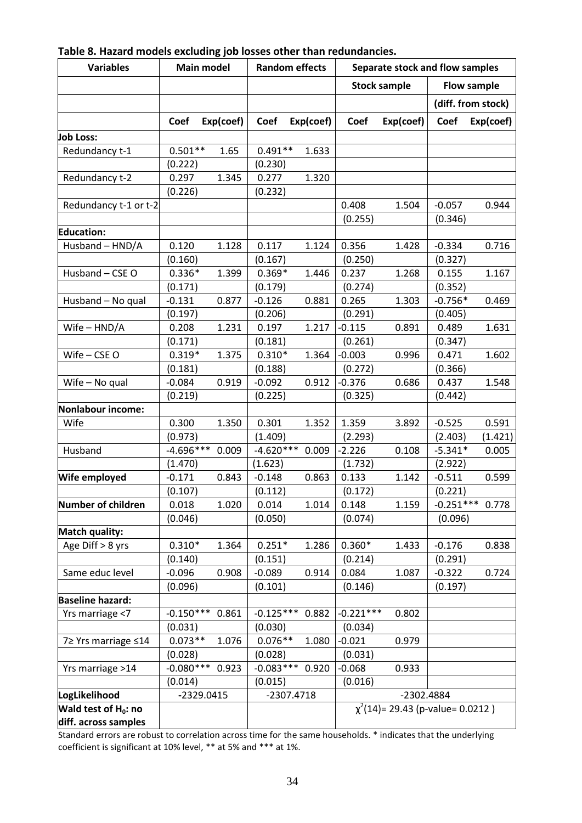| <b>Variables</b>         |             | <b>Main model</b> | <b>Random effects</b> |           | Separate stock and flow samples |                                        |                    |                    |
|--------------------------|-------------|-------------------|-----------------------|-----------|---------------------------------|----------------------------------------|--------------------|--------------------|
|                          |             |                   |                       |           |                                 | <b>Stock sample</b>                    | <b>Flow sample</b> |                    |
|                          |             |                   |                       |           |                                 |                                        |                    | (diff. from stock) |
|                          | Coef        | Exp(coef)         | Coef                  | Exp(coef) | Coef                            | Exp(coef)                              | Coef               | Exp(coef)          |
| <b>Job Loss:</b>         |             |                   |                       |           |                                 |                                        |                    |                    |
| Redundancy t-1           | $0.501**$   | 1.65              | $0.491**$             | 1.633     |                                 |                                        |                    |                    |
|                          | (0.222)     |                   | (0.230)               |           |                                 |                                        |                    |                    |
| Redundancy t-2           | 0.297       | 1.345             | 0.277                 | 1.320     |                                 |                                        |                    |                    |
|                          | (0.226)     |                   | (0.232)               |           |                                 |                                        |                    |                    |
| Redundancy t-1 or t-2    |             |                   |                       |           | 0.408                           | 1.504                                  | $-0.057$           | 0.944              |
|                          |             |                   |                       |           | (0.255)                         |                                        | (0.346)            |                    |
| <b>Education:</b>        |             |                   |                       |           |                                 |                                        |                    |                    |
| Husband - HND/A          | 0.120       | 1.128             | 0.117                 | 1.124     | 0.356                           | 1.428                                  | $-0.334$           | 0.716              |
|                          | (0.160)     |                   | (0.167)               |           | (0.250)                         |                                        | (0.327)            |                    |
| Husband - CSE O          | $0.336*$    | 1.399             | $0.369*$              | 1.446     | 0.237                           | 1.268                                  | 0.155              | 1.167              |
|                          | (0.171)     |                   | (0.179)               |           | (0.274)                         |                                        | (0.352)            |                    |
| Husband - No qual        | $-0.131$    | 0.877             | $-0.126$              | 0.881     | 0.265                           | 1.303                                  | $-0.756*$          | 0.469              |
|                          | (0.197)     |                   | (0.206)               |           | (0.291)                         |                                        | (0.405)            |                    |
| Wife $-$ HND/A           | 0.208       | 1.231             | 0.197                 | 1.217     | $-0.115$                        | 0.891                                  | 0.489              | 1.631              |
|                          | (0.171)     |                   | (0.181)               |           | (0.261)                         |                                        | (0.347)            |                    |
| Wife - CSE O             | $0.319*$    | 1.375             | $0.310*$              | 1.364     | $-0.003$                        | 0.996                                  | 0.471              | 1.602              |
|                          | (0.181)     |                   | (0.188)               |           | (0.272)                         |                                        | (0.366)            |                    |
| Wife - No qual           | $-0.084$    | 0.919             | $-0.092$              | 0.912     | $-0.376$                        | 0.686                                  | 0.437              | 1.548              |
|                          | (0.219)     |                   | (0.225)               |           | (0.325)                         |                                        | (0.442)            |                    |
| <b>Nonlabour income:</b> |             |                   |                       |           |                                 |                                        |                    |                    |
| Wife                     | 0.300       | 1.350             | 0.301                 | 1.352     | 1.359                           | 3.892                                  | $-0.525$           | 0.591              |
|                          | (0.973)     |                   | (1.409)               |           | (2.293)                         |                                        | (2.403)            | (1.421)            |
| Husband                  | $-4.696***$ | 0.009             | $-4.620***$           | 0.009     | $-2.226$                        | 0.108                                  | $-5.341*$          | 0.005              |
|                          | (1.470)     |                   | (1.623)               |           | (1.732)                         |                                        | (2.922)            |                    |
| Wife employed            | $-0.171$    | 0.843             | $-0.148$              | 0.863     | 0.133                           | 1.142                                  | $-0.511$           | 0.599              |
|                          | (0.107)     |                   | (0.112)               |           | (0.172)                         |                                        | (0.221)            |                    |
| Number of children       | 0.018       | 1.020             | 0.014                 | 1.014     | 0.148                           | 1.159                                  | $-0.251***$        | 0.778              |
|                          | (0.046)     |                   | (0.050)               |           | (0.074)                         |                                        | (0.096)            |                    |
| Match quality:           |             |                   |                       |           |                                 |                                        |                    |                    |
| Age Diff > 8 yrs         | $0.310*$    | 1.364             | $0.251*$              | 1.286     | $0.360*$                        | 1.433                                  | $-0.176$           | 0.838              |
|                          | (0.140)     |                   | (0.151)               |           | (0.214)                         |                                        | (0.291)            |                    |
| Same educ level          | $-0.096$    | 0.908             | $-0.089$              | 0.914     | 0.084                           | 1.087                                  | $-0.322$           | 0.724              |
|                          | (0.096)     |                   | (0.101)               |           | (0.146)                         |                                        | (0.197)            |                    |
| <b>Baseline hazard:</b>  |             |                   |                       |           |                                 |                                        |                    |                    |
| Yrs marriage <7          | $-0.150***$ | 0.861             | $-0.125***$           | 0.882     | $-0.221***$                     | 0.802                                  |                    |                    |
|                          | (0.031)     |                   | (0.030)               |           | (0.034)                         |                                        |                    |                    |
| 7≥ Yrs marriage ≤14      | $0.073**$   | 1.076             | $0.076**$             | 1.080     | $-0.021$                        | 0.979                                  |                    |                    |
|                          | (0.028)     |                   | (0.028)               |           | (0.031)                         |                                        |                    |                    |
| Yrs marriage >14         | $-0.080***$ | 0.923             | $-0.083***$           | 0.920     | $-0.068$                        | 0.933                                  |                    |                    |
|                          | (0.014)     |                   | (0.015)               |           | (0.016)                         |                                        |                    |                    |
| LogLikelihood            |             | -2329.0415        | -2307.4718            |           |                                 | -2302.4884                             |                    |                    |
| Wald test of $H_0$ : no  |             |                   |                       |           |                                 | $\chi^2(14)$ = 29.43 (p-value= 0.0212) |                    |                    |
| diff. across samples     |             |                   |                       |           |                                 |                                        |                    |                    |

**Table 8. Hazard models excluding job losses other than redundancies.** 

Standard errors are robust to correlation across time for the same households. \* indicates that the underlying coefficient is significant at 10% level, \*\* at 5% and \*\*\* at 1%.